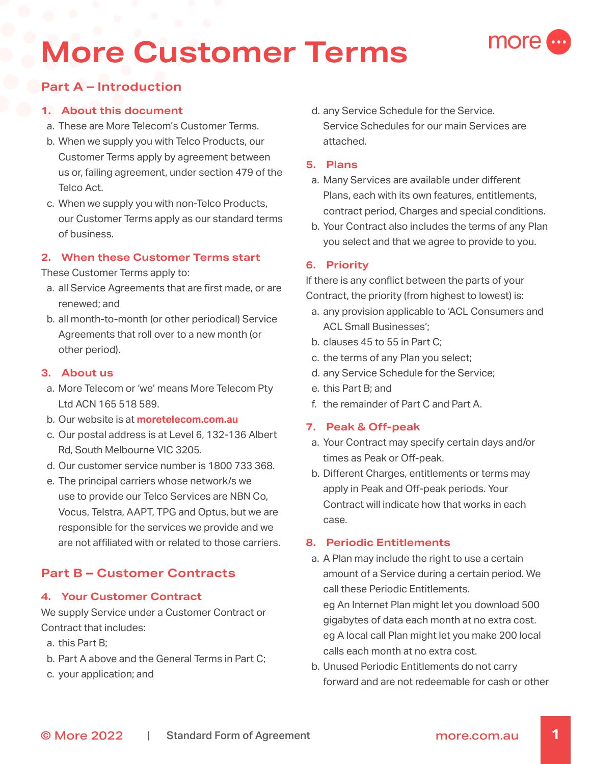# **More Customer Terms**



### **1. About this document**

- a. These are More Telecom's Customer Terms.
- b. When we supply you with Telco Products, our Customer Terms apply by agreement between us or, failing agreement, under section 479 of the Telco Act.
- c. When we supply you with non-Telco Products, our Customer Terms apply as our standard terms of business.

# **2. When these Customer Terms start**

These Customer Terms apply to:

- a. all Service Agreements that are first made, or are renewed; and
- b. all month-to-month (or other periodical) Service Agreements that roll over to a new month (or other period).

### **3. About us**

- a. More Telecom or 'we' means More Telecom Pty Ltd ACN 165 518 589.
- b. Our website is at **[moretelecom.com.au](http://moretelecom.com.au)**
- c. Our postal address is at Level 6, 132-136 Albert Rd, South Melbourne VIC 3205.
- d. Our customer service number is 1800 733 368.
- e. The principal carriers whose network/s we use to provide our Telco Services are NBN Co, Vocus, Telstra, AAPT, TPG and Optus, but we are responsible for the services we provide and we are not affiliated with or related to those carriers.

# **Part B – Customer Contracts**

### **4. Your Customer Contract**

We supply Service under a Customer Contract or Contract that includes:

- a. this Part B;
- b. Part A above and the General Terms in Part C;
- c. your application; and

d. any Service Schedule for the Service. Service Schedules for our main Services are attached.

more

### **5. Plans**

- a. Many Services are available under different Plans, each with its own features, entitlements, contract period, Charges and special conditions.
- b. Your Contract also includes the terms of any Plan you select and that we agree to provide to you.

### **6. Priority**

If there is any conflict between the parts of your Contract, the priority (from highest to lowest) is:

- a. any provision applicable to 'ACL Consumers and ACL Small Businesses';
- b. clauses 45 to 55 in Part C;
- c. the terms of any Plan you select;
- d. any Service Schedule for the Service;
- e. this Part B; and
- f. the remainder of Part C and Part A.

### **7. Peak & Off-peak**

- a. Your Contract may specify certain days and/or times as Peak or Off-peak.
- b. Different Charges, entitlements or terms may apply in Peak and Off-peak periods. Your Contract will indicate how that works in each case.

### **8. Periodic Entitlements**

a. A Plan may include the right to use a certain amount of a Service during a certain period. We call these Periodic Entitlements.

eg An Internet Plan might let you download 500 gigabytes of data each month at no extra cost. eg A local call Plan might let you make 200 local calls each month at no extra cost.

b. Unused Periodic Entitlements do not carry forward and are not redeemable for cash or other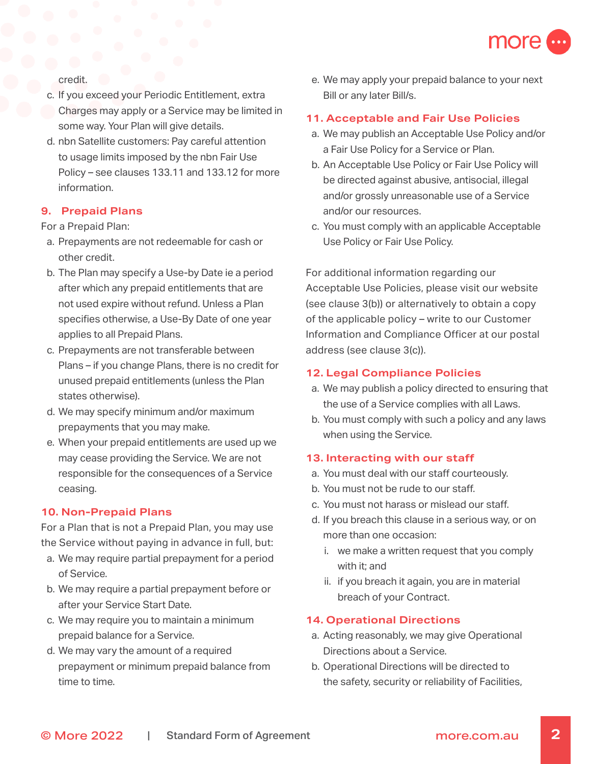

credit.

- c. If you exceed your Periodic Entitlement, extra Charges may apply or a Service may be limited in some way. Your Plan will give details.
- d. nbn Satellite customers: Pay careful attention to usage limits imposed by the nbn Fair Use Policy – see clauses 133.11 and 133.12 for more information.

### **9. Prepaid Plans**

For a Prepaid Plan:

- a. Prepayments are not redeemable for cash or other credit.
- b. The Plan may specify a Use-by Date ie a period after which any prepaid entitlements that are not used expire without refund. Unless a Plan specifies otherwise, a Use-By Date of one year applies to all Prepaid Plans.
- c. Prepayments are not transferable between Plans – if you change Plans, there is no credit for unused prepaid entitlements (unless the Plan states otherwise).
- d. We may specify minimum and/or maximum prepayments that you may make.
- e. When your prepaid entitlements are used up we may cease providing the Service. We are not responsible for the consequences of a Service ceasing.

### **10. Non-Prepaid Plans**

For a Plan that is not a Prepaid Plan, you may use the Service without paying in advance in full, but:

- a. We may require partial prepayment for a period of Service.
- b. We may require a partial prepayment before or after your Service Start Date.
- c. We may require you to maintain a minimum prepaid balance for a Service.
- d. We may vary the amount of a required prepayment or minimum prepaid balance from time to time.

e. We may apply your prepaid balance to your next Bill or any later Bill/s.

### **11. Acceptable and Fair Use Policies**

- a. We may publish an Acceptable Use Policy and/or a Fair Use Policy for a Service or Plan.
- b. An Acceptable Use Policy or Fair Use Policy will be directed against abusive, antisocial, illegal and/or grossly unreasonable use of a Service and/or our resources.
- c. You must comply with an applicable Acceptable Use Policy or Fair Use Policy.

For additional information regarding our Acceptable Use Policies, please visit our website (see clause 3(b)) or alternatively to obtain a copy of the applicable policy – write to our Customer Information and Compliance Officer at our postal address (see clause 3(c)).

### **12. Legal Compliance Policies**

- a. We may publish a policy directed to ensuring that the use of a Service complies with all Laws.
- b. You must comply with such a policy and any laws when using the Service.

### **13. Interacting with our staff**

- a. You must deal with our staff courteously.
- b. You must not be rude to our staff.
- c. You must not harass or mislead our staff.
- d. If you breach this clause in a serious way, or on more than one occasion:
	- i. we make a written request that you comply with it; and
	- ii. if you breach it again, you are in material breach of your Contract.

### **14. Operational Directions**

- a. Acting reasonably, we may give Operational Directions about a Service.
- b. Operational Directions will be directed to the safety, security or reliability of Facilities,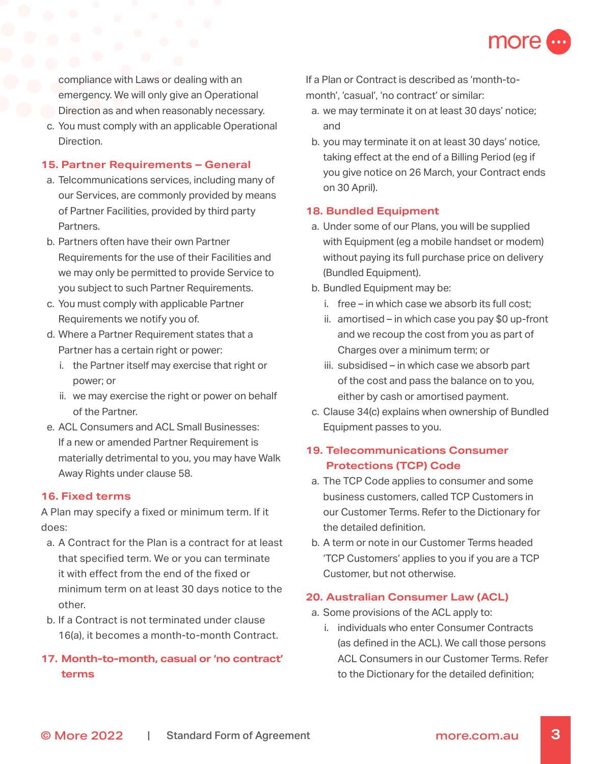

compliance with Laws or dealing with an emergency. We will only give an Operational Direction as and when reasonably necessary.

c. You must comply with an applicable Operational Direction.

### **15. Partner Requirements – General**

- a. Telcommunications services, including many of our Services, are commonly provided by means of Partner Facilities, provided by third party Partners.
- b. Partners often have their own Partner Requirements for the use of their Facilities and we may only be permitted to provide Service to you subject to such Partner Requirements.
- c. You must comply with applicable Partner Requirements we notify you of.
- d. Where a Partner Requirement states that a Partner has a certain right or power:
	- i. the Partner itself may exercise that right or power; or
	- ii. we may exercise the right or power on behalf of the Partner.
- e. ACL Consumers and ACL Small Businesses: If a new or amended Partner Requirement is materially detrimental to you, you may have Walk Away Rights under clause 58.

### **16. Fixed terms**

A Plan may specify a fixed or minimum term. If it does:

- a. A Contract for the Plan is a contract for at least that specified term. We or you can terminate it with effect from the end of the fixed or minimum term on at least 30 days notice to the other.
- b. If a Contract is not terminated under clause 16(a), it becomes a month-to-month Contract.

# **17. Month-to-month, casual or 'no contract' terms**

If a Plan or Contract is described as 'month-tomonth', 'casual', 'no contract' or similar:

- a. we may terminate it on at least 30 days' notice; and
- b. you may terminate it on at least 30 days' notice, taking effect at the end of a Billing Period (eg if you give notice on 26 March, your Contract ends on 30 April).

### **18. Bundled Equipment**

- a. Under some of our Plans, you will be supplied with Equipment (eg a mobile handset or modem) without paying its full purchase price on delivery (Bundled Equipment).
- b. Bundled Equipment may be:
	- i. free in which case we absorb its full cost;
	- ii. amortised in which case you pay \$0 up-front and we recoup the cost from you as part of Charges over a minimum term; or
	- iii. subsidised in which case we absorb part of the cost and pass the balance on to you, either by cash or amortised payment.
- c. Clause 34(c) explains when ownership of Bundled Equipment passes to you.

# **19. Telecommunications Consumer Protections (TCP) Code**

- a. The TCP Code applies to consumer and some business customers, called TCP Customers in our Customer Terms. Refer to the Dictionary for the detailed definition.
- b. A term or note in our Customer Terms headed 'TCP Customers' applies to you if you are a TCP Customer, but not otherwise.

### **20. Australian Consumer Law (ACL)**

- a. Some provisions of the ACL apply to:
	- i. individuals who enter Consumer Contracts (as defined in the ACL). We call those persons ACL Consumers in our Customer Terms. Refer to the Dictionary for the detailed definition;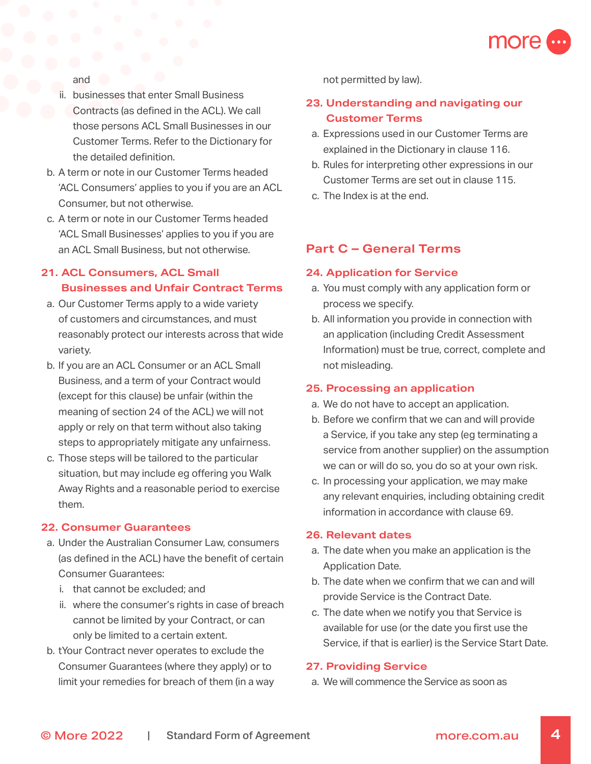

and

- ii. businesses that enter Small Business Contracts (as defined in the ACL). We call those persons ACL Small Businesses in our Customer Terms. Refer to the Dictionary for the detailed definition.
- b. A term or note in our Customer Terms headed 'ACL Consumers' applies to you if you are an ACL Consumer, but not otherwise.
- c. A term or note in our Customer Terms headed 'ACL Small Businesses' applies to you if you are an ACL Small Business, but not otherwise.

# **21. ACL Consumers, ACL Small Businesses and Unfair Contract Terms**

- a. Our Customer Terms apply to a wide variety of customers and circumstances, and must reasonably protect our interests across that wide variety.
- b. If you are an ACL Consumer or an ACL Small Business, and a term of your Contract would (except for this clause) be unfair (within the meaning of section 24 of the ACL) we will not apply or rely on that term without also taking steps to appropriately mitigate any unfairness.
- c. Those steps will be tailored to the particular situation, but may include eg offering you Walk Away Rights and a reasonable period to exercise them.

### **22. Consumer Guarantees**

- a. Under the Australian Consumer Law, consumers (as defined in the ACL) have the benefit of certain Consumer Guarantees:
	- i. that cannot be excluded; and
	- ii. where the consumer's rights in case of breach cannot be limited by your Contract, or can only be limited to a certain extent.
- b. tYour Contract never operates to exclude the Consumer Guarantees (where they apply) or to limit your remedies for breach of them (in a way

not permitted by law).

# **23. Understanding and navigating our Customer Terms**

- a. Expressions used in our Customer Terms are explained in the Dictionary in clause 116.
- b. Rules for interpreting other expressions in our Customer Terms are set out in clause 115.
- c. The Index is at the end.

# **Part C – General Terms**

### **24. Application for Service**

- a. You must comply with any application form or process we specify.
- b. All information you provide in connection with an application (including Credit Assessment Information) must be true, correct, complete and not misleading.

### **25. Processing an application**

- a. We do not have to accept an application.
- b. Before we confirm that we can and will provide a Service, if you take any step (eg terminating a service from another supplier) on the assumption we can or will do so, you do so at your own risk.
- c. In processing your application, we may make any relevant enquiries, including obtaining credit information in accordance with clause 69.

### **26. Relevant dates**

- a. The date when you make an application is the Application Date.
- b. The date when we confirm that we can and will provide Service is the Contract Date.
- c. The date when we notify you that Service is available for use (or the date you first use the Service, if that is earlier) is the Service Start Date.

### **27. Providing Service**

a. We will commence the Service as soon as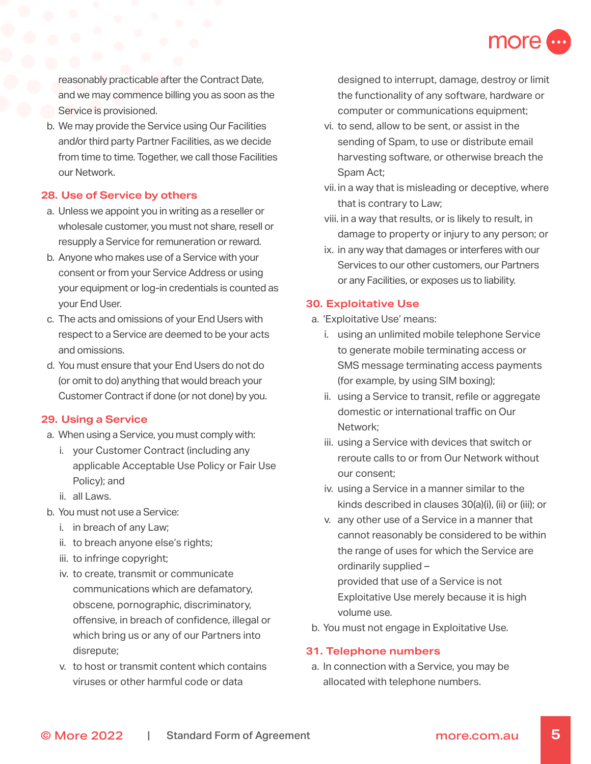

reasonably practicable after the Contract Date, and we may commence billing you as soon as the Service is provisioned.

b. We may provide the Service using Our Facilities and/or third party Partner Facilities, as we decide from time to time. Together, we call those Facilities our Network.

### **28. Use of Service by others**

- a. Unless we appoint you in writing as a reseller or wholesale customer, you must not share, resell or resupply a Service for remuneration or reward.
- b. Anyone who makes use of a Service with your consent or from your Service Address or using your equipment or log-in credentials is counted as your End User.
- c. The acts and omissions of your End Users with respect to a Service are deemed to be your acts and omissions.
- d. You must ensure that your End Users do not do (or omit to do) anything that would breach your Customer Contract if done (or not done) by you.

### **29. Using a Service**

- a. When using a Service, you must comply with:
	- i. your Customer Contract (including any applicable Acceptable Use Policy or Fair Use Policy); and
	- ii. all Laws.
- b. You must not use a Service:
	- i. in breach of any Law;
	- ii. to breach anyone else's rights;
	- iii. to infringe copyright;
	- iv. to create, transmit or communicate communications which are defamatory, obscene, pornographic, discriminatory, offensive, in breach of confidence, illegal or which bring us or any of our Partners into disrepute;
	- v. to host or transmit content which contains viruses or other harmful code or data

designed to interrupt, damage, destroy or limit the functionality of any software, hardware or computer or communications equipment;

- vi. to send, allow to be sent, or assist in the sending of Spam, to use or distribute email harvesting software, or otherwise breach the Spam Act;
- vii. in a way that is misleading or deceptive, where that is contrary to Law;
- viii. in a way that results, or is likely to result, in damage to property or injury to any person; or
- ix. in any way that damages or interferes with our Services to our other customers, our Partners or any Facilities, or exposes us to liability.

#### **30. Exploitative Use**

- a. 'Exploitative Use' means:
	- i. using an unlimited mobile telephone Service to generate mobile terminating access or SMS message terminating access payments (for example, by using SIM boxing);
	- ii. using a Service to transit, refile or aggregate domestic or international traffic on Our Network;
	- iii. using a Service with devices that switch or reroute calls to or from Our Network without our consent;
	- iv. using a Service in a manner similar to the kinds described in clauses 30(a)(i), (ii) or (iii); or
	- v. any other use of a Service in a manner that cannot reasonably be considered to be within the range of uses for which the Service are ordinarily supplied – provided that use of a Service is not

Exploitative Use merely because it is high volume use.

b. You must not engage in Exploitative Use.

#### **31. Telephone numbers**

a. In connection with a Service, you may be allocated with telephone numbers.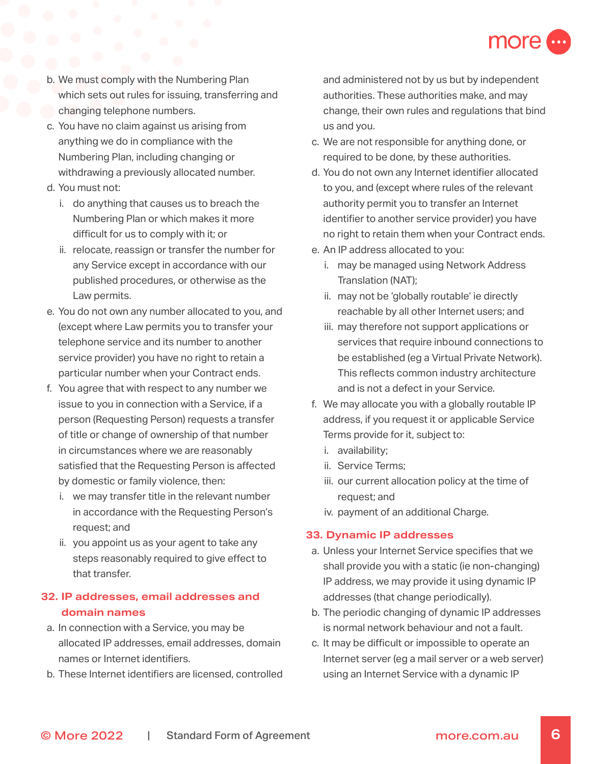

- b. We must comply with the Numbering Plan which sets out rules for issuing, transferring and changing telephone numbers.
- c. You have no claim against us arising from anything we do in compliance with the Numbering Plan, including changing or withdrawing a previously allocated number.
- d. You must not:
	- i. do anything that causes us to breach the Numbering Plan or which makes it more difficult for us to comply with it; or
	- ii. relocate, reassign or transfer the number for any Service except in accordance with our published procedures, or otherwise as the Law permits.
- e. You do not own any number allocated to you, and (except where Law permits you to transfer your telephone service and its number to another service provider) you have no right to retain a particular number when your Contract ends.
- f. You agree that with respect to any number we issue to you in connection with a Service, if a person (Requesting Person) requests a transfer of title or change of ownership of that number in circumstances where we are reasonably satisfied that the Requesting Person is affected by domestic or family violence, then:
	- i. we may transfer title in the relevant number in accordance with the Requesting Person's request; and
	- ii. you appoint us as your agent to take any steps reasonably required to give effect to that transfer.

# **32. IP addresses, email addresses and domain names**

- a. In connection with a Service, you may be allocated IP addresses, email addresses, domain names or Internet identifiers.
- b. These Internet identifiers are licensed, controlled

and administered not by us but by independent authorities. These authorities make, and may change, their own rules and regulations that bind us and you.

- c. We are not responsible for anything done, or required to be done, by these authorities.
- d. You do not own any Internet identifier allocated to you, and (except where rules of the relevant authority permit you to transfer an Internet identifier to another service provider) you have no right to retain them when your Contract ends.
- e. An IP address allocated to you:
	- i. may be managed using Network Address Translation (NAT);
	- ii. may not be 'globally routable' ie directly reachable by all other Internet users; and
	- iii. may therefore not support applications or services that require inbound connections to be established (eg a Virtual Private Network). This reflects common industry architecture and is not a defect in your Service.
- f. We may allocate you with a globally routable IP address, if you request it or applicable Service Terms provide for it, subject to:
	- i. availability;
	- ii. Service Terms;
	- iii. our current allocation policy at the time of request; and
	- iv. payment of an additional Charge.

### **33. Dynamic IP addresses**

- a. Unless your Internet Service specifies that we shall provide you with a static (ie non-changing) IP address, we may provide it using dynamic IP addresses (that change periodically).
- b. The periodic changing of dynamic IP addresses is normal network behaviour and not a fault.
- c. It may be difficult or impossible to operate an Internet server (eg a mail server or a web server) using an Internet Service with a dynamic IP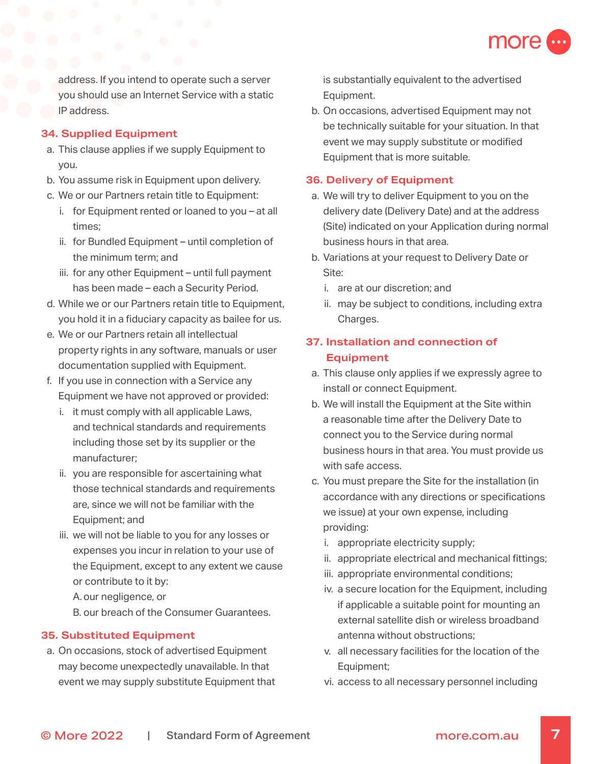

address. If you intend to operate such a server you should use an Internet Service with a static IP address.

### **34. Supplied Equipment**

- a. This clause applies if we supply Equipment to you.
- b. You assume risk in Equipment upon delivery.
- c. We or our Partners retain title to Equipment:
	- i. for Equipment rented or loaned to you at all times;
	- ii. for Bundled Equipment until completion of the minimum term; and
	- iii. for any other Equipment until full payment has been made – each a Security Period.
- d. While we or our Partners retain title to Equipment, you hold it in a fiduciary capacity as bailee for us.
- e. We or our Partners retain all intellectual property rights in any software, manuals or user documentation supplied with Equipment.
- f. If you use in connection with a Service any Equipment we have not approved or provided:
	- i. it must comply with all applicable Laws, and technical standards and requirements including those set by its supplier or the manufacturer;
	- ii. you are responsible for ascertaining what those technical standards and requirements are, since we will not be familiar with the Equipment; and
	- iii. we will not be liable to you for any losses or expenses you incur in relation to your use of the Equipment, except to any extent we cause or contribute to it by:
		- A.our negligence, or
		- B. our breach of the Consumer Guarantees.

### **35. Substituted Equipment**

a. On occasions, stock of advertised Equipment may become unexpectedly unavailable. In that event we may supply substitute Equipment that is substantially equivalent to the advertised Equipment.

b. On occasions, advertised Equipment may not be technically suitable for your situation. In that event we may supply substitute or modified Equipment that is more suitable.

### **36. Delivery of Equipment**

- a. We will try to deliver Equipment to you on the delivery date (Delivery Date) and at the address (Site) indicated on your Application during normal business hours in that area.
- b. Variations at your request to Delivery Date or Site:
	- i. are at our discretion; and
	- ii. may be subject to conditions, including extra Charges.

# **37. Installation and connection of Equipment**

- a. This clause only applies if we expressly agree to install or connect Equipment.
- b. We will install the Equipment at the Site within a reasonable time after the Delivery Date to connect you to the Service during normal business hours in that area. You must provide us with safe access.
- c. You must prepare the Site for the installation (in accordance with any directions or specifications we issue) at your own expense, including providing:
	- i. appropriate electricity supply;
	- ii. appropriate electrical and mechanical fittings;
	- iii. appropriate environmental conditions;
	- iv. a secure location for the Equipment, including if applicable a suitable point for mounting an external satellite dish or wireless broadband antenna without obstructions;
	- v. all necessary facilities for the location of the Equipment;
	- vi. access to all necessary personnel including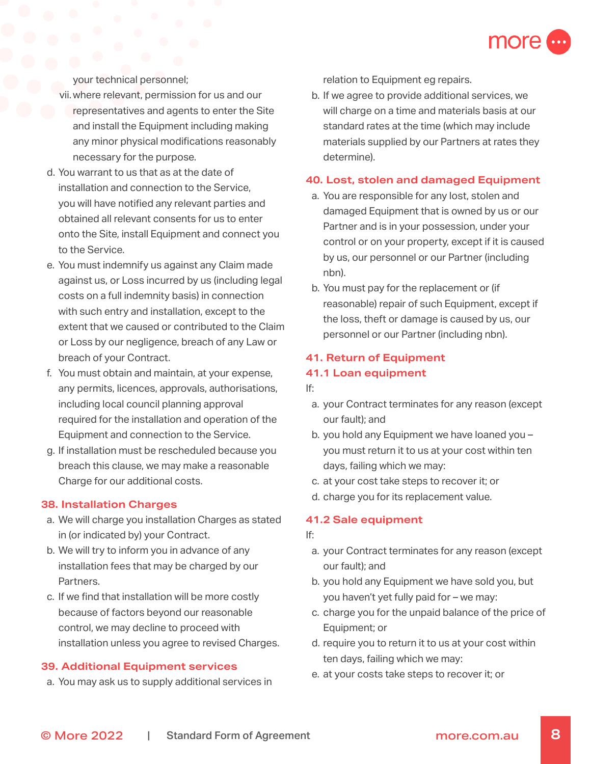

your technical personnel;

- vii.where relevant, permission for us and our representatives and agents to enter the Site and install the Equipment including making any minor physical modifications reasonably necessary for the purpose.
- d. You warrant to us that as at the date of installation and connection to the Service, you will have notified any relevant parties and obtained all relevant consents for us to enter onto the Site, install Equipment and connect you to the Service.
- e. You must indemnify us against any Claim made against us, or Loss incurred by us (including legal costs on a full indemnity basis) in connection with such entry and installation, except to the extent that we caused or contributed to the Claim or Loss by our negligence, breach of any Law or breach of your Contract.
- f. You must obtain and maintain, at your expense, any permits, licences, approvals, authorisations, including local council planning approval required for the installation and operation of the Equipment and connection to the Service.
- g. If installation must be rescheduled because you breach this clause, we may make a reasonable Charge for our additional costs.

### **38. Installation Charges**

- a. We will charge you installation Charges as stated in (or indicated by) your Contract.
- b. We will try to inform you in advance of any installation fees that may be charged by our Partners.
- c. If we find that installation will be more costly because of factors beyond our reasonable control, we may decline to proceed with installation unless you agree to revised Charges.

### **39. Additional Equipment services**

a. You may ask us to supply additional services in

relation to Equipment eg repairs.

b. If we agree to provide additional services, we will charge on a time and materials basis at our standard rates at the time (which may include materials supplied by our Partners at rates they determine).

#### **40. Lost, stolen and damaged Equipment**

- a. You are responsible for any lost, stolen and damaged Equipment that is owned by us or our Partner and is in your possession, under your control or on your property, except if it is caused by us, our personnel or our Partner (including nbn).
- b. You must pay for the replacement or (if reasonable) repair of such Equipment, except if the loss, theft or damage is caused by us, our personnel or our Partner (including nbn).

#### **41. Return of Equipment**

#### **41.1 Loan equipment**

- If:
	- a. your Contract terminates for any reason (except our fault); and
	- b. you hold any Equipment we have loaned you you must return it to us at your cost within ten days, failing which we may:
	- c. at your cost take steps to recover it; or
	- d. charge you for its replacement value.

#### **41.2 Sale equipment**

#### If:

- a. your Contract terminates for any reason (except our fault); and
- b. you hold any Equipment we have sold you, but you haven't yet fully paid for – we may:
- c. charge you for the unpaid balance of the price of Equipment; or
- d. require you to return it to us at your cost within ten days, failing which we may:
- e. at your costs take steps to recover it; or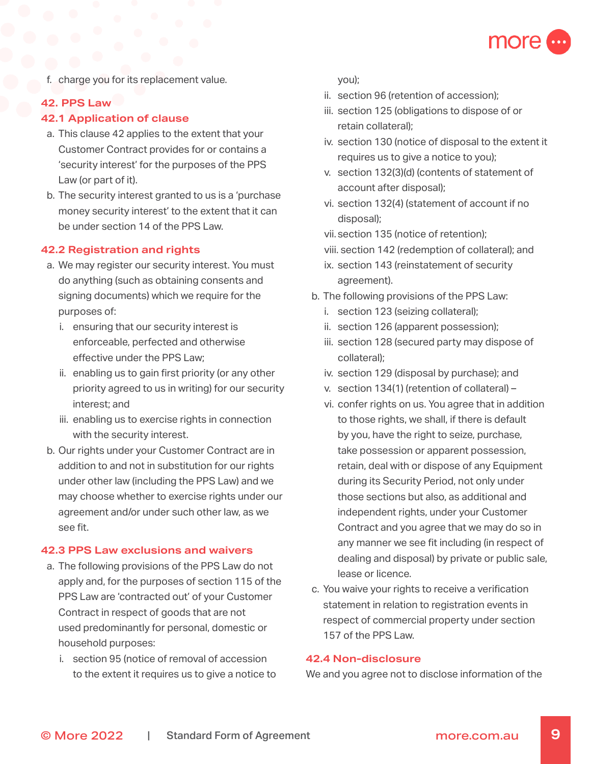

f. charge you for its replacement value.

### **42. PPS Law**

### **42.1 Application of clause**

- a. This clause 42 applies to the extent that your Customer Contract provides for or contains a 'security interest' for the purposes of the PPS Law (or part of it).
- b. The security interest granted to us is a 'purchase money security interest' to the extent that it can be under section 14 of the PPS Law.

#### **42.2 Registration and rights**

- a. We may register our security interest. You must do anything (such as obtaining consents and signing documents) which we require for the purposes of:
	- i. ensuring that our security interest is enforceable, perfected and otherwise effective under the PPS Law;
	- ii. enabling us to gain first priority (or any other priority agreed to us in writing) for our security interest; and
	- iii. enabling us to exercise rights in connection with the security interest.
- b. Our rights under your Customer Contract are in addition to and not in substitution for our rights under other law (including the PPS Law) and we may choose whether to exercise rights under our agreement and/or under such other law, as we see fit.

#### **42.3 PPS Law exclusions and waivers**

- a. The following provisions of the PPS Law do not apply and, for the purposes of section 115 of the PPS Law are 'contracted out' of your Customer Contract in respect of goods that are not used predominantly for personal, domestic or household purposes:
	- i. section 95 (notice of removal of accession to the extent it requires us to give a notice to

you);

- ii. section 96 (retention of accession);
- iii. section 125 (obligations to dispose of or retain collateral);
- iv. section 130 (notice of disposal to the extent it requires us to give a notice to you);
- v. section 132(3)(d) (contents of statement of account after disposal);
- vi. section 132(4) (statement of account if no disposal);
- vii. section 135 (notice of retention);
- viii. section 142 (redemption of collateral); and
- ix. section 143 (reinstatement of security agreement).
- b. The following provisions of the PPS Law:
	- i. section 123 (seizing collateral);
	- ii. section 126 (apparent possession);
	- iii. section 128 (secured party may dispose of collateral);
	- iv. section 129 (disposal by purchase); and
	- v. section 134(1) (retention of collateral) –
	- vi. confer rights on us. You agree that in addition to those rights, we shall, if there is default by you, have the right to seize, purchase, take possession or apparent possession, retain, deal with or dispose of any Equipment during its Security Period, not only under those sections but also, as additional and independent rights, under your Customer Contract and you agree that we may do so in any manner we see fit including (in respect of dealing and disposal) by private or public sale, lease or licence.
- c. You waive your rights to receive a verification statement in relation to registration events in respect of commercial property under section 157 of the PPS Law.

### **42.4 Non-disclosure**

We and you agree not to disclose information of the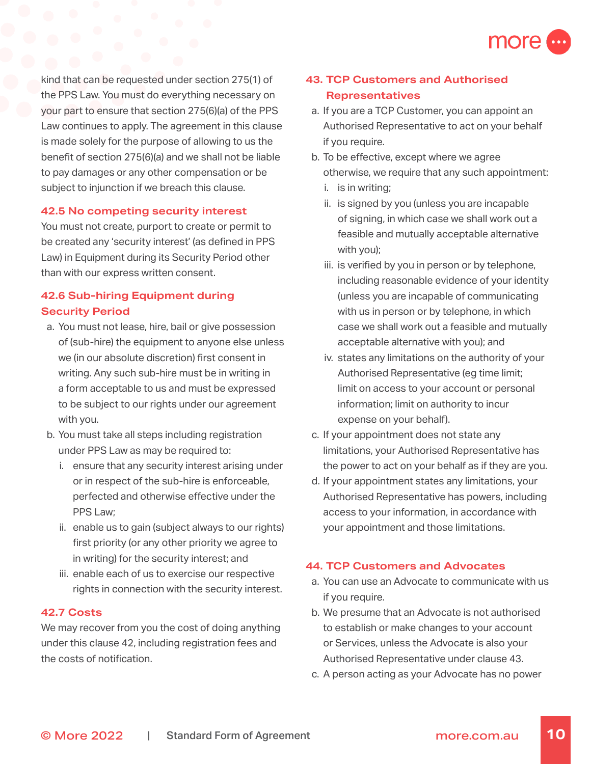

kind that can be requested under section 275(1) of the PPS Law. You must do everything necessary on your part to ensure that section 275(6)(a) of the PPS Law continues to apply. The agreement in this clause is made solely for the purpose of allowing to us the benefit of section 275(6)(a) and we shall not be liable to pay damages or any other compensation or be subject to injunction if we breach this clause.

### **42.5 No competing security interest**

You must not create, purport to create or permit to be created any 'security interest' (as defined in PPS Law) in Equipment during its Security Period other than with our express written consent.

# **42.6 Sub-hiring Equipment during Security Period**

- a. You must not lease, hire, bail or give possession of (sub-hire) the equipment to anyone else unless we (in our absolute discretion) first consent in writing. Any such sub-hire must be in writing in a form acceptable to us and must be expressed to be subject to our rights under our agreement with you.
- b. You must take all steps including registration under PPS Law as may be required to:
	- i. ensure that any security interest arising under or in respect of the sub-hire is enforceable, perfected and otherwise effective under the PPS Law;
	- ii. enable us to gain (subject always to our rights) first priority (or any other priority we agree to in writing) for the security interest; and
	- iii. enable each of us to exercise our respective rights in connection with the security interest.

### **42.7 Costs**

We may recover from you the cost of doing anything under this clause 42, including registration fees and the costs of notification.

# **43. TCP Customers and Authorised Representatives**

- a. If you are a TCP Customer, you can appoint an Authorised Representative to act on your behalf if you require.
- b. To be effective, except where we agree otherwise, we require that any such appointment:
	- i. is in writing;
	- ii. is signed by you (unless you are incapable of signing, in which case we shall work out a feasible and mutually acceptable alternative with you);
	- iii. is verified by you in person or by telephone, including reasonable evidence of your identity (unless you are incapable of communicating with us in person or by telephone, in which case we shall work out a feasible and mutually acceptable alternative with you); and
	- iv. states any limitations on the authority of your Authorised Representative (eg time limit; limit on access to your account or personal information; limit on authority to incur expense on your behalf).
- c. If your appointment does not state any limitations, your Authorised Representative has the power to act on your behalf as if they are you.
- d. If your appointment states any limitations, your Authorised Representative has powers, including access to your information, in accordance with your appointment and those limitations.

### **44. TCP Customers and Advocates**

- a. You can use an Advocate to communicate with us if you require.
- b. We presume that an Advocate is not authorised to establish or make changes to your account or Services, unless the Advocate is also your Authorised Representative under clause 43.
- c. A person acting as your Advocate has no power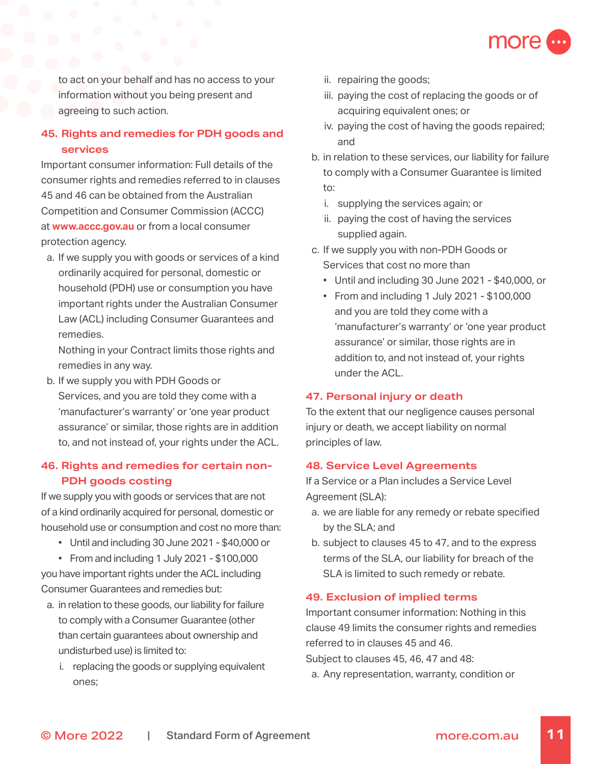

to act on your behalf and has no access to your information without you being present and agreeing to such action.

# **45. Rights and remedies for PDH goods and services**

Important consumer information: Full details of the consumer rights and remedies referred to in clauses 45 and 46 can be obtained from the Australian Competition and Consumer Commission (ACCC) at **[www.accc.gov.au](http://www.accc.gov.au)** or from a local consumer protection agency.

a. If we supply you with goods or services of a kind ordinarily acquired for personal, domestic or household (PDH) use or consumption you have important rights under the Australian Consumer Law (ACL) including Consumer Guarantees and remedies.

Nothing in your Contract limits those rights and remedies in any way.

b. If we supply you with PDH Goods or Services, and you are told they come with a 'manufacturer's warranty' or 'one year product assurance' or similar, those rights are in addition to, and not instead of, your rights under the ACL.

# **46. Rights and remedies for certain non-PDH goods costing**

If we supply you with goods or services that are not of a kind ordinarily acquired for personal, domestic or household use or consumption and cost no more than:

- Until and including 30 June 2021 \$40,000 or
- From and including 1 July 2021 \$100,000 you have important rights under the ACL including Consumer Guarantees and remedies but:
- a. in relation to these goods, our liability for failure to comply with a Consumer Guarantee (other than certain guarantees about ownership and undisturbed use) is limited to:
	- i. replacing the goods or supplying equivalent ones;
- ii. repairing the goods;
- iii. paying the cost of replacing the goods or of acquiring equivalent ones; or
- iv. paying the cost of having the goods repaired; and
- b. in relation to these services, our liability for failure to comply with a Consumer Guarantee is limited to:
	- i. supplying the services again; or
	- ii. paying the cost of having the services supplied again.
- c. If we supply you with non-PDH Goods or Services that cost no more than
	- Until and including 30 June 2021 \$40,000, or
	- From and including 1 July 2021 \$100,000 and you are told they come with a 'manufacturer's warranty' or 'one year product assurance' or similar, those rights are in addition to, and not instead of, your rights under the ACL.

### **47. Personal injury or death**

To the extent that our negligence causes personal injury or death, we accept liability on normal principles of law.

### **48. Service Level Agreements**

If a Service or a Plan includes a Service Level Agreement (SLA):

- a. we are liable for any remedy or rebate specified by the SLA; and
- b. subject to clauses 45 to 47, and to the express terms of the SLA, our liability for breach of the SLA is limited to such remedy or rebate.

### **49. Exclusion of implied terms**

Important consumer information: Nothing in this clause 49 limits the consumer rights and remedies referred to in clauses 45 and 46.

Subject to clauses 45, 46, 47 and 48:

a. Any representation, warranty, condition or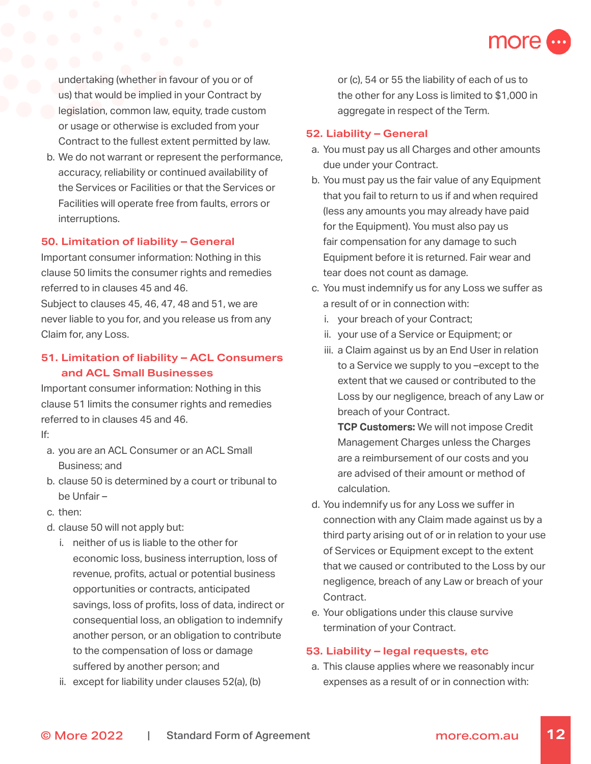

undertaking (whether in favour of you or of us) that would be implied in your Contract by legislation, common law, equity, trade custom or usage or otherwise is excluded from your Contract to the fullest extent permitted by law.

b. We do not warrant or represent the performance, accuracy, reliability or continued availability of the Services or Facilities or that the Services or Facilities will operate free from faults, errors or interruptions.

### **50. Limitation of liability – General**

Important consumer information: Nothing in this clause 50 limits the consumer rights and remedies referred to in clauses 45 and 46.

Subject to clauses 45, 46, 47, 48 and 51, we are never liable to you for, and you release us from any Claim for, any Loss.

# **51. Limitation of liability – ACL Consumers and ACL Small Businesses**

Important consumer information: Nothing in this clause 51 limits the consumer rights and remedies referred to in clauses 45 and 46.

If:

- a. you are an ACL Consumer or an ACL Small Business; and
- b. clause 50 is determined by a court or tribunal to be Unfair –
- c. then:
- d. clause 50 will not apply but:
	- i. neither of us is liable to the other for economic loss, business interruption, loss of revenue, profits, actual or potential business opportunities or contracts, anticipated savings, loss of profits, loss of data, indirect or consequential loss, an obligation to indemnify another person, or an obligation to contribute to the compensation of loss or damage suffered by another person; and
	- ii. except for liability under clauses 52(a), (b)

or (c), 54 or 55 the liability of each of us to the other for any Loss is limited to \$1,000 in aggregate in respect of the Term.

#### **52. Liability – General**

- a. You must pay us all Charges and other amounts due under your Contract.
- b. You must pay us the fair value of any Equipment that you fail to return to us if and when required (less any amounts you may already have paid for the Equipment). You must also pay us fair compensation for any damage to such Equipment before it is returned. Fair wear and tear does not count as damage.
- c. You must indemnify us for any Loss we suffer as a result of or in connection with:
	- i. your breach of your Contract;
	- ii. your use of a Service or Equipment; or
	- iii. a Claim against us by an End User in relation to a Service we supply to you –except to the extent that we caused or contributed to the Loss by our negligence, breach of any Law or breach of your Contract.

**TCP Customers:** We will not impose Credit Management Charges unless the Charges are a reimbursement of our costs and you are advised of their amount or method of calculation.

- d. You indemnify us for any Loss we suffer in connection with any Claim made against us by a third party arising out of or in relation to your use of Services or Equipment except to the extent that we caused or contributed to the Loss by our negligence, breach of any Law or breach of your Contract.
- e. Your obligations under this clause survive termination of your Contract.

#### **53. Liability – legal requests, etc**

a. This clause applies where we reasonably incur expenses as a result of or in connection with: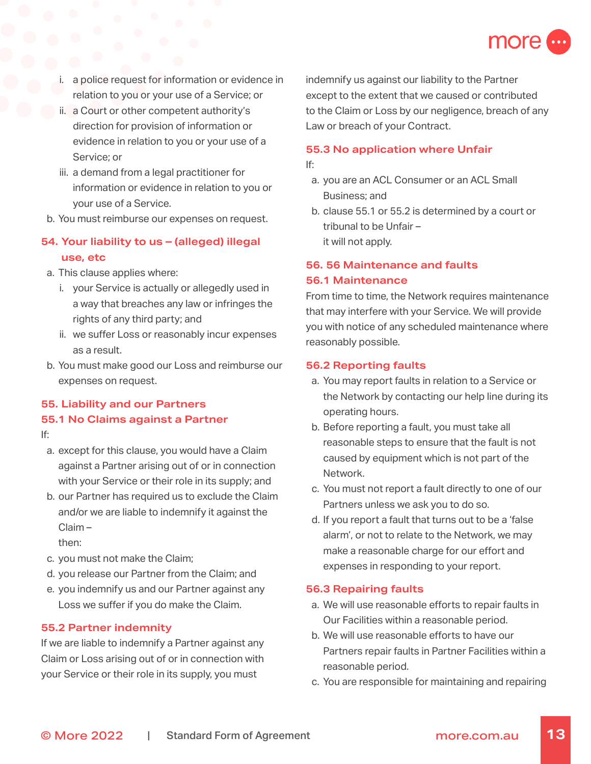

- a police request for information or evidence in relation to you or your use of a Service; or
- ii. a Court or other competent authority's direction for provision of information or evidence in relation to you or your use of a Service; or
- iii. a demand from a legal practitioner for information or evidence in relation to you or your use of a Service.
- b. You must reimburse our expenses on request.

# **54. Your liability to us – (alleged) illegal use, etc**

- a. This clause applies where:
	- i. your Service is actually or allegedly used in a way that breaches any law or infringes the rights of any third party; and
	- ii. we suffer Loss or reasonably incur expenses as a result.
- b. You must make good our Loss and reimburse our expenses on request.

# **55. Liability and our Partners**

### **55.1 No Claims against a Partner**

If:

- a. except for this clause, you would have a Claim against a Partner arising out of or in connection with your Service or their role in its supply; and
- b. our Partner has required us to exclude the Claim and/or we are liable to indemnify it against the Claim –

then:

- c. you must not make the Claim;
- d. you release our Partner from the Claim; and
- e. you indemnify us and our Partner against any Loss we suffer if you do make the Claim.

### **55.2 Partner indemnity**

If we are liable to indemnify a Partner against any Claim or Loss arising out of or in connection with your Service or their role in its supply, you must

indemnify us against our liability to the Partner except to the extent that we caused or contributed to the Claim or Loss by our negligence, breach of any Law or breach of your Contract.

### **55.3 No application where Unfair**

If:

- a. you are an ACL Consumer or an ACL Small Business; and
- b. clause 55.1 or 55.2 is determined by a court or tribunal to be Unfair – it will not apply.

#### **56. 56 Maintenance and faults**

#### **56.1 Maintenance**

From time to time, the Network requires maintenance that may interfere with your Service. We will provide you with notice of any scheduled maintenance where reasonably possible.

### **56.2 Reporting faults**

- a. You may report faults in relation to a Service or the Network by contacting our help line during its operating hours.
- b. Before reporting a fault, you must take all reasonable steps to ensure that the fault is not caused by equipment which is not part of the Network.
- c. You must not report a fault directly to one of our Partners unless we ask you to do so.
- d. If you report a fault that turns out to be a 'false alarm', or not to relate to the Network, we may make a reasonable charge for our effort and expenses in responding to your report.

### **56.3 Repairing faults**

- a. We will use reasonable efforts to repair faults in Our Facilities within a reasonable period.
- b. We will use reasonable efforts to have our Partners repair faults in Partner Facilities within a reasonable period.
- c. You are responsible for maintaining and repairing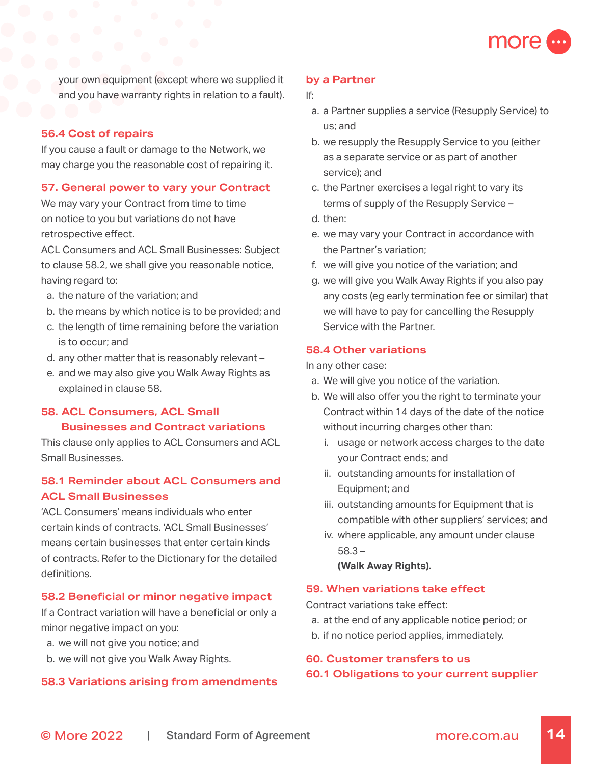

your own equipment (except where we supplied it and you have warranty rights in relation to a fault).

### **56.4 Cost of repairs**

If you cause a fault or damage to the Network, we may charge you the reasonable cost of repairing it.

#### **57. General power to vary your Contract**

We may vary your Contract from time to time on notice to you but variations do not have retrospective effect.

ACL Consumers and ACL Small Businesses: Subject to clause 58.2, we shall give you reasonable notice, having regard to:

- a. the nature of the variation; and
- b. the means by which notice is to be provided; and
- c. the length of time remaining before the variation is to occur; and
- d. any other matter that is reasonably relevant –
- e. and we may also give you Walk Away Rights as explained in clause 58.

# **58. ACL Consumers, ACL Small Businesses and Contract variations**

This clause only applies to ACL Consumers and ACL Small Businesses.

# **58.1 Reminder about ACL Consumers and ACL Small Businesses**

'ACL Consumers' means individuals who enter certain kinds of contracts. 'ACL Small Businesses' means certain businesses that enter certain kinds of contracts. Refer to the Dictionary for the detailed definitions.

#### **58.2 Beneficial or minor negative impact**

If a Contract variation will have a beneficial or only a minor negative impact on you:

- a. we will not give you notice; and
- b. we will not give you Walk Away Rights.

### **58.3 Variations arising from amendments**

#### **by a Partner**

#### If:

- a. a Partner supplies a service (Resupply Service) to us; and
- b. we resupply the Resupply Service to you (either as a separate service or as part of another service); and
- c. the Partner exercises a legal right to vary its terms of supply of the Resupply Service –
- d. then:
- e. we may vary your Contract in accordance with the Partner's variation;
- f. we will give you notice of the variation; and
- g. we will give you Walk Away Rights if you also pay any costs (eg early termination fee or similar) that we will have to pay for cancelling the Resupply Service with the Partner.

### **58.4 Other variations**

In any other case:

- a. We will give you notice of the variation.
- b. We will also offer you the right to terminate your Contract within 14 days of the date of the notice without incurring charges other than:
	- i. usage or network access charges to the date your Contract ends; and
	- ii. outstanding amounts for installation of Equipment; and
	- iii. outstanding amounts for Equipment that is compatible with other suppliers' services; and
	- iv. where applicable, any amount under clause 58.3 –

**(Walk Away Rights).**

### **59. When variations take effect**

Contract variations take effect:

- a. at the end of any applicable notice period; or
- b. if no notice period applies, immediately.

### **60. Customer transfers to us**

#### **60.1 Obligations to your current supplier**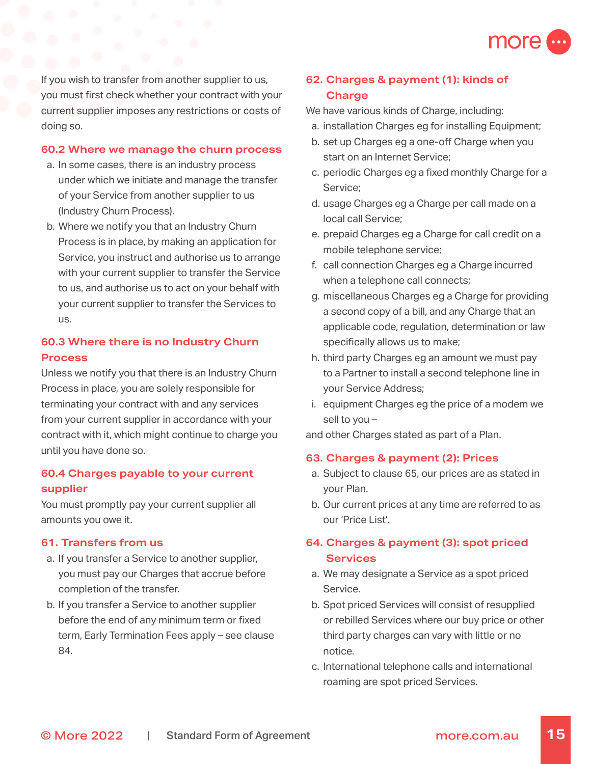

If you wish to transfer from another supplier to us, you must first check whether your contract with your current supplier imposes any restrictions or costs of doing so.

#### **60.2 Where we manage the churn process**

- a. In some cases, there is an industry process under which we initiate and manage the transfer of your Service from another supplier to us (Industry Churn Process).
- b. Where we notify you that an Industry Churn Process is in place, by making an application for Service, you instruct and authorise us to arrange with your current supplier to transfer the Service to us, and authorise us to act on your behalf with your current supplier to transfer the Services to us.

# **60.3 Where there is no Industry Churn Process**

Unless we notify you that there is an Industry Churn Process in place, you are solely responsible for terminating your contract with and any services from your current supplier in accordance with your contract with it, which might continue to charge you until you have done so.

# **60.4 Charges payable to your current supplier**

You must promptly pay your current supplier all amounts you owe it.

#### **61. Transfers from us**

- a. If you transfer a Service to another supplier, you must pay our Charges that accrue before completion of the transfer.
- b. If you transfer a Service to another supplier before the end of any minimum term or fixed term, Early Termination Fees apply – see clause 84.

# **62. Charges & payment (1): kinds of Charge**

We have various kinds of Charge, including:

- a. installation Charges eg for installing Equipment;
- b. set up Charges eg a one-off Charge when you start on an Internet Service;
- c. periodic Charges eg a fixed monthly Charge for a Service;
- d. usage Charges eg a Charge per call made on a local call Service;
- e. prepaid Charges eg a Charge for call credit on a mobile telephone service;
- f. call connection Charges eg a Charge incurred when a telephone call connects;
- g. miscellaneous Charges eg a Charge for providing a second copy of a bill, and any Charge that an applicable code, regulation, determination or law specifically allows us to make;
- h. third party Charges eg an amount we must pay to a Partner to install a second telephone line in your Service Address;
- i. equipment Charges eg the price of a modem we sell to you –

and other Charges stated as part of a Plan.

#### **63. Charges & payment (2): Prices**

- a. Subject to clause 65, our prices are as stated in your Plan.
- b. Our current prices at any time are referred to as our 'Price List'.

# **64. Charges & payment (3): spot priced Services**

- a. We may designate a Service as a spot priced Service.
- b. Spot priced Services will consist of resupplied or rebilled Services where our buy price or other third party charges can vary with little or no notice.
- c. International telephone calls and international roaming are spot priced Services.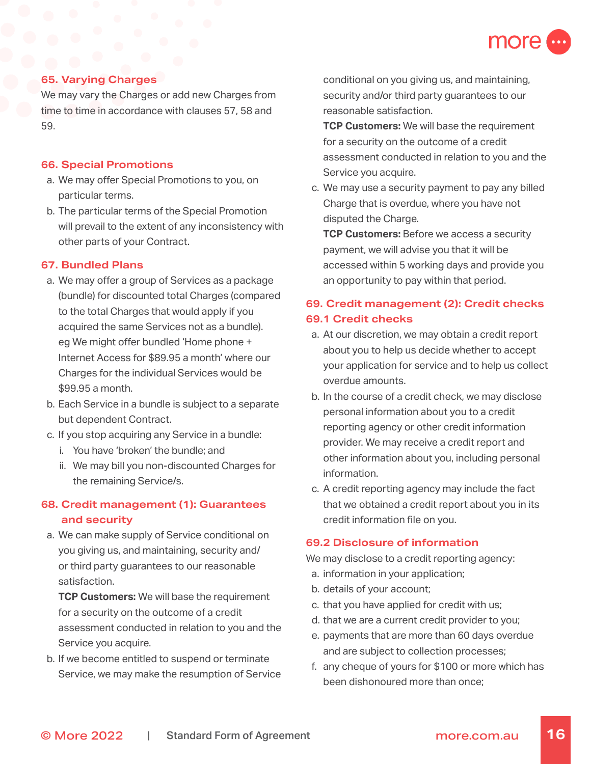

### **65. Varying Charges**

We may vary the Charges or add new Charges from time to time in accordance with clauses 57, 58 and 59.

### **66. Special Promotions**

- a. We may offer Special Promotions to you, on particular terms.
- b. The particular terms of the Special Promotion will prevail to the extent of any inconsistency with other parts of your Contract.

#### **67. Bundled Plans**

- a. We may offer a group of Services as a package (bundle) for discounted total Charges (compared to the total Charges that would apply if you acquired the same Services not as a bundle). eg We might offer bundled 'Home phone + Internet Access for \$89.95 a month' where our Charges for the individual Services would be \$99.95 a month.
- b. Each Service in a bundle is subject to a separate but dependent Contract.
- c. If you stop acquiring any Service in a bundle:
	- i. You have 'broken' the bundle; and
	- ii. We may bill you non-discounted Charges for the remaining Service/s.

# **68. Credit management (1): Guarantees and security**

a. We can make supply of Service conditional on you giving us, and maintaining, security and/ or third party guarantees to our reasonable satisfaction.

**TCP Customers:** We will base the requirement for a security on the outcome of a credit assessment conducted in relation to you and the Service you acquire.

b. If we become entitled to suspend or terminate Service, we may make the resumption of Service conditional on you giving us, and maintaining, security and/or third party guarantees to our reasonable satisfaction.

**TCP Customers:** We will base the requirement for a security on the outcome of a credit assessment conducted in relation to you and the Service you acquire.

c. We may use a security payment to pay any billed Charge that is overdue, where you have not disputed the Charge.

**TCP Customers:** Before we access a security payment, we will advise you that it will be accessed within 5 working days and provide you an opportunity to pay within that period.

# **69. Credit management (2): Credit checks 69.1 Credit checks**

- a. At our discretion, we may obtain a credit report about you to help us decide whether to accept your application for service and to help us collect overdue amounts.
- b. In the course of a credit check, we may disclose personal information about you to a credit reporting agency or other credit information provider. We may receive a credit report and other information about you, including personal information.
- c. A credit reporting agency may include the fact that we obtained a credit report about you in its credit information file on you.

#### **69.2 Disclosure of information**

We may disclose to a credit reporting agency:

- a. information in your application;
- b. details of your account;
- c. that you have applied for credit with us;
- d. that we are a current credit provider to you;
- e. payments that are more than 60 days overdue and are subject to collection processes;
- f. any cheque of yours for \$100 or more which has been dishonoured more than once;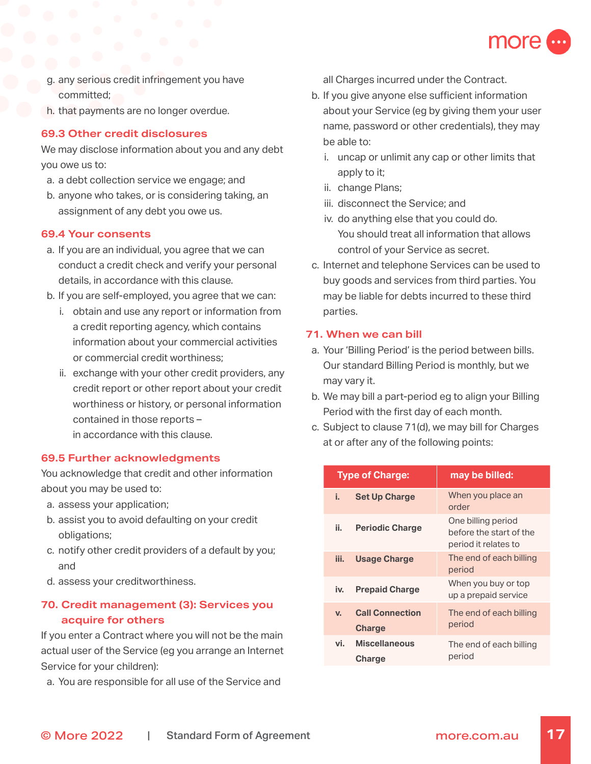

- g. any serious credit infringement you have committed;
- h. that payments are no longer overdue.

### **69.3 Other credit disclosures**

We may disclose information about you and any debt you owe us to:

- a. a debt collection service we engage; and
- b. anyone who takes, or is considering taking, an assignment of any debt you owe us.

### **69.4 Your consents**

- a. If you are an individual, you agree that we can conduct a credit check and verify your personal details, in accordance with this clause.
- b. If you are self-employed, you agree that we can:
	- i. obtain and use any report or information from a credit reporting agency, which contains information about your commercial activities or commercial credit worthiness;
	- ii. exchange with your other credit providers, any credit report or other report about your credit worthiness or history, or personal information contained in those reports – in accordance with this clause.

### **69.5 Further acknowledgments**

You acknowledge that credit and other information about you may be used to:

- a. assess your application;
- b. assist you to avoid defaulting on your credit obligations;
- c. notify other credit providers of a default by you; and
- d. assess your creditworthiness.

# **70. Credit management (3): Services you acquire for others**

If you enter a Contract where you will not be the main actual user of the Service (eg you arrange an Internet Service for your children):

a. You are responsible for all use of the Service and

all Charges incurred under the Contract.

- b. If you give anyone else sufficient information about your Service (eg by giving them your user name, password or other credentials), they may be able to:
	- i. uncap or unlimit any cap or other limits that apply to it;
	- ii. change Plans;
	- iii. disconnect the Service; and
	- iv. do anything else that you could do. You should treat all information that allows control of your Service as secret.
- c. Internet and telephone Services can be used to buy goods and services from third parties. You may be liable for debts incurred to these third parties.

### **71. When we can bill**

- a. Your 'Billing Period' is the period between bills. Our standard Billing Period is monthly, but we may vary it.
- b. We may bill a part-period eg to align your Billing Period with the first day of each month.
- c. Subject to clause 71(d), we may bill for Charges at or after any of the following points:

| <b>Type of Charge:</b> |                                         | may be billed:                                                        |
|------------------------|-----------------------------------------|-----------------------------------------------------------------------|
| i. I                   | <b>Set Up Charge</b>                    | When you place an<br>order                                            |
| ii. I                  | <b>Periodic Charge</b>                  | One billing period<br>before the start of the<br>period it relates to |
| iii.                   | <b>Usage Charge</b>                     | The end of each billing<br>period                                     |
| iv.                    | <b>Prepaid Charge</b>                   | When you buy or top<br>up a prepaid service                           |
| $V_{-}$                | <b>Call Connection</b><br><b>Charge</b> | The end of each billing<br>period                                     |
| vi. I                  | <b>Miscellaneous</b><br><b>Charge</b>   | The end of each billing<br>period                                     |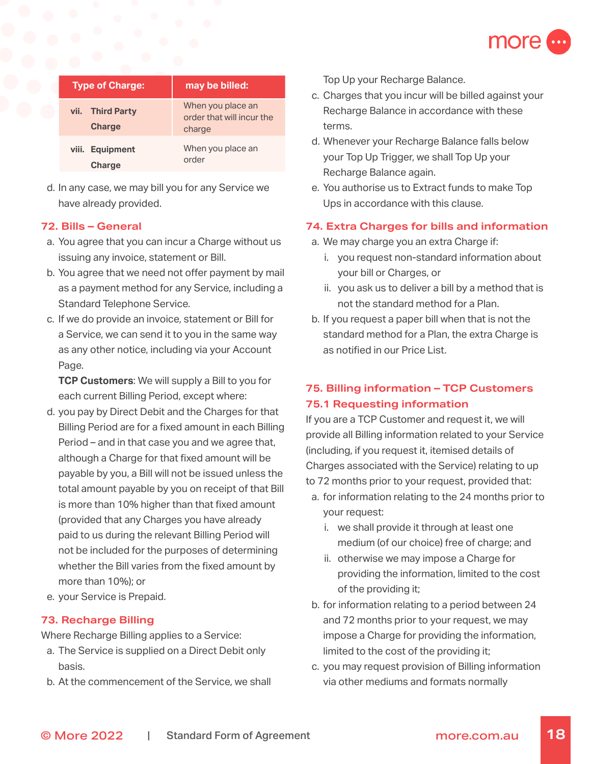

| <b>Type of Charge:</b>                      | may be billed:                                           |
|---------------------------------------------|----------------------------------------------------------|
| vii.<br><b>Third Party</b><br><b>Charge</b> | When you place an<br>order that will incur the<br>charge |
| <b>Equipment</b><br>viii.<br><b>Charge</b>  | When you place an<br>order                               |

d. In any case, we may bill you for any Service we have already provided.

### **72. Bills – General**

- a. You agree that you can incur a Charge without us issuing any invoice, statement or Bill.
- b. You agree that we need not offer payment by mail as a payment method for any Service, including a Standard Telephone Service.
- c. If we do provide an invoice, statement or Bill for a Service, we can send it to you in the same way as any other notice, including via your Account Page.

**TCP Customers**: We will supply a Bill to you for each current Billing Period, except where:

- d. you pay by Direct Debit and the Charges for that Billing Period are for a fixed amount in each Billing Period – and in that case you and we agree that, although a Charge for that fixed amount will be payable by you, a Bill will not be issued unless the total amount payable by you on receipt of that Bill is more than 10% higher than that fixed amount (provided that any Charges you have already paid to us during the relevant Billing Period will not be included for the purposes of determining whether the Bill varies from the fixed amount by more than 10%); or
- e. your Service is Prepaid.

### **73. Recharge Billing**

Where Recharge Billing applies to a Service:

- a. The Service is supplied on a Direct Debit only basis.
- b. At the commencement of the Service, we shall

Top Up your Recharge Balance.

- c. Charges that you incur will be billed against your Recharge Balance in accordance with these terms.
- d. Whenever your Recharge Balance falls below your Top Up Trigger, we shall Top Up your Recharge Balance again.
- e. You authorise us to Extract funds to make Top Ups in accordance with this clause.

### **74. Extra Charges for bills and information**

- a. We may charge you an extra Charge if:
	- i. you request non-standard information about your bill or Charges, or
	- ii. you ask us to deliver a bill by a method that is not the standard method for a Plan.
- b. If you request a paper bill when that is not the standard method for a Plan, the extra Charge is as notified in our Price List.

# **75. Billing information – TCP Customers 75.1 Requesting information**

If you are a TCP Customer and request it, we will provide all Billing information related to your Service (including, if you request it, itemised details of Charges associated with the Service) relating to up to 72 months prior to your request, provided that:

- a. for information relating to the 24 months prior to your request:
	- i. we shall provide it through at least one medium (of our choice) free of charge; and
	- ii. otherwise we may impose a Charge for providing the information, limited to the cost of the providing it;
- b. for information relating to a period between 24 and 72 months prior to your request, we may impose a Charge for providing the information, limited to the cost of the providing it;
- c. you may request provision of Billing information via other mediums and formats normally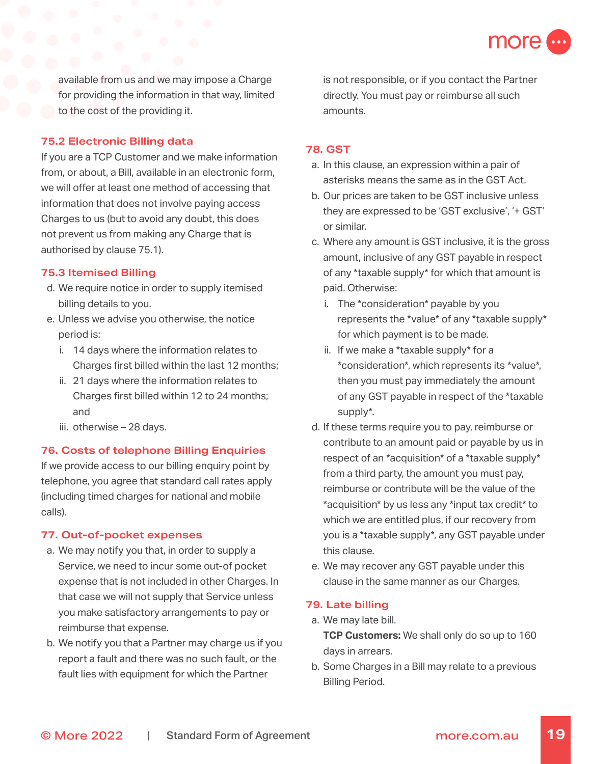

available from us and we may impose a Charge for providing the information in that way, limited to the cost of the providing it.

### **75.2 Electronic Billing data**

If you are a TCP Customer and we make information from, or about, a Bill, available in an electronic form, we will offer at least one method of accessing that information that does not involve paying access Charges to us (but to avoid any doubt, this does not prevent us from making any Charge that is authorised by clause 75.1).

### **75.3 Itemised Billing**

- d. We require notice in order to supply itemised billing details to you.
- e. Unless we advise you otherwise, the notice period is:
	- i. 14 days where the information relates to Charges first billed within the last 12 months;
	- ii. 21 days where the information relates to Charges first billed within 12 to 24 months; and
	- iii. otherwise 28 days.

### **76. Costs of telephone Billing Enquiries**

If we provide access to our billing enquiry point by telephone, you agree that standard call rates apply (including timed charges for national and mobile calls).

### **77. Out-of-pocket expenses**

- a. We may notify you that, in order to supply a Service, we need to incur some out-of pocket expense that is not included in other Charges. In that case we will not supply that Service unless you make satisfactory arrangements to pay or reimburse that expense.
- b. We notify you that a Partner may charge us if you report a fault and there was no such fault, or the fault lies with equipment for which the Partner

is not responsible, or if you contact the Partner directly. You must pay or reimburse all such amounts.

### **78. GST**

- a. In this clause, an expression within a pair of asterisks means the same as in the GST Act.
- b. Our prices are taken to be GST inclusive unless they are expressed to be 'GST exclusive', '+ GST' or similar.
- c. Where any amount is GST inclusive, it is the gross amount, inclusive of any GST payable in respect of any \*taxable supply\* for which that amount is paid. Otherwise:
	- i. The \*consideration\* payable by you represents the \*value\* of any \*taxable supply\* for which payment is to be made.
	- ii. If we make a \*taxable supply\* for a \*consideration\*, which represents its \*value\*, then you must pay immediately the amount of any GST payable in respect of the \*taxable supply\*.
- d. If these terms require you to pay, reimburse or contribute to an amount paid or payable by us in respect of an \*acquisition\* of a \*taxable supply\* from a third party, the amount you must pay, reimburse or contribute will be the value of the \*acquisition\* by us less any \*input tax credit\* to which we are entitled plus, if our recovery from you is a \*taxable supply\*, any GST payable under this clause.
- e. We may recover any GST payable under this clause in the same manner as our Charges.

### **79. Late billing**

- a. We may late bill. **TCP Customers:** We shall only do so up to 160 days in arrears.
- b. Some Charges in a Bill may relate to a previous Billing Period.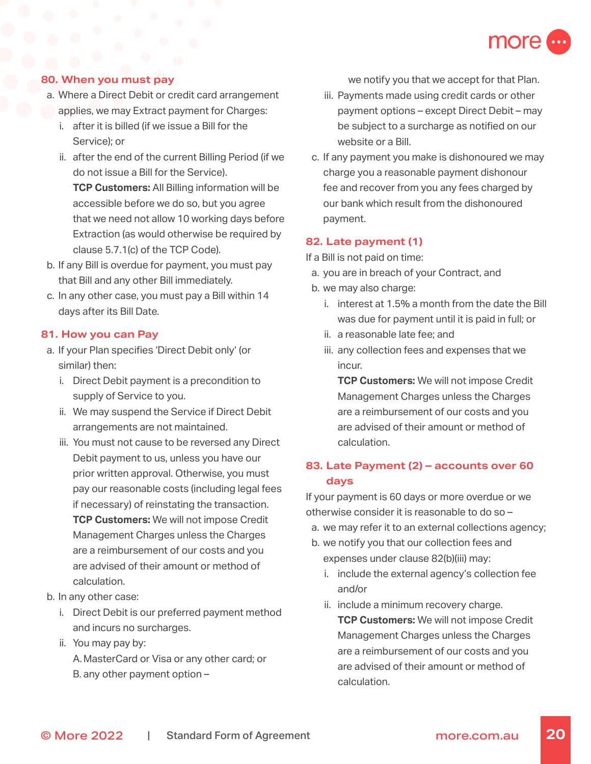

### **80. When you must pay**

- a. Where a Direct Debit or credit card arrangement applies, we may Extract payment for Charges:
	- i. after it is billed (if we issue a Bill for the Service); or
	- ii. after the end of the current Billing Period (if we do not issue a Bill for the Service). **TCP Customers:** All Billing information will be accessible before we do so, but you agree that we need not allow 10 working days before Extraction (as would otherwise be required by clause 5.7.1(c) of the TCP Code).
- b. If any Bill is overdue for payment, you must pay that Bill and any other Bill immediately.
- c. In any other case, you must pay a Bill within 14 days after its Bill Date.

### **81. How you can Pay**

- a. If your Plan specifies 'Direct Debit only' (or similar) then:
	- i. Direct Debit payment is a precondition to supply of Service to you.
	- ii. We may suspend the Service if Direct Debit arrangements are not maintained.
	- iii. You must not cause to be reversed any Direct Debit payment to us, unless you have our prior written approval. Otherwise, you must pay our reasonable costs (including legal fees if necessary) of reinstating the transaction. **TCP Customers:** We will not impose Credit Management Charges unless the Charges are a reimbursement of our costs and you are advised of their amount or method of calculation.
- b. In any other case:
	- i. Direct Debit is our preferred payment method and incurs no surcharges.
	- ii. You may pay by: A.MasterCard or Visa or any other card; or B. any other payment option –

we notify you that we accept for that Plan.

- iii. Payments made using credit cards or other payment options – except Direct Debit – may be subject to a surcharge as notified on our website or a Bill.
- c. If any payment you make is dishonoured we may charge you a reasonable payment dishonour fee and recover from you any fees charged by our bank which result from the dishonoured payment.

#### **82. Late payment (1)**

If a Bill is not paid on time:

- a. you are in breach of your Contract, and
- b. we may also charge:
	- i. interest at 1.5% a month from the date the Bill was due for payment until it is paid in full; or
	- ii. a reasonable late fee; and
	- iii. any collection fees and expenses that we incur.

**TCP Customers:** We will not impose Credit Management Charges unless the Charges are a reimbursement of our costs and you are advised of their amount or method of calculation.

# **83. Late Payment (2) – accounts over 60 days**

If your payment is 60 days or more overdue or we otherwise consider it is reasonable to do so –

- a. we may refer it to an external collections agency;
- b. we notify you that our collection fees and expenses under clause 82(b)(iii) may:
	- i. include the external agency's collection fee and/or
	- ii. include a minimum recovery charge. **TCP Customers:** We will not impose Credit Management Charges unless the Charges are a reimbursement of our costs and you are advised of their amount or method of calculation.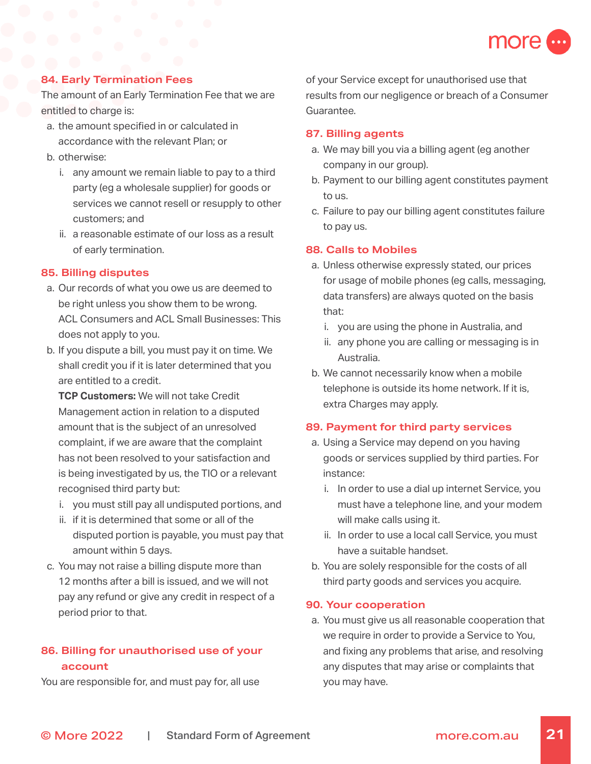

### **84. Early Termination Fees**

The amount of an Early Termination Fee that we are entitled to charge is:

- a. the amount specified in or calculated in accordance with the relevant Plan; or
- b. otherwise:
	- i. any amount we remain liable to pay to a third party (eg a wholesale supplier) for goods or services we cannot resell or resupply to other customers; and
	- ii. a reasonable estimate of our loss as a result of early termination.

### **85. Billing disputes**

- a. Our records of what you owe us are deemed to be right unless you show them to be wrong. ACL Consumers and ACL Small Businesses: This does not apply to you.
- b. If you dispute a bill, you must pay it on time. We shall credit you if it is later determined that you are entitled to a credit.

**TCP Customers:** We will not take Credit Management action in relation to a disputed amount that is the subject of an unresolved complaint, if we are aware that the complaint has not been resolved to your satisfaction and is being investigated by us, the TIO or a relevant recognised third party but:

- i. you must still pay all undisputed portions, and
- ii. if it is determined that some or all of the disputed portion is payable, you must pay that amount within 5 days.
- c. You may not raise a billing dispute more than 12 months after a bill is issued, and we will not pay any refund or give any credit in respect of a period prior to that.

# **86. Billing for unauthorised use of your account**

You are responsible for, and must pay for, all use

of your Service except for unauthorised use that results from our negligence or breach of a Consumer Guarantee.

### **87. Billing agents**

- a. We may bill you via a billing agent (eg another company in our group).
- b. Payment to our billing agent constitutes payment to us.
- c. Failure to pay our billing agent constitutes failure to pay us.

### **88. Calls to Mobiles**

- a. Unless otherwise expressly stated, our prices for usage of mobile phones (eg calls, messaging, data transfers) are always quoted on the basis that:
	- i. you are using the phone in Australia, and
	- ii. any phone you are calling or messaging is in Australia.
- b. We cannot necessarily know when a mobile telephone is outside its home network. If it is, extra Charges may apply.

### **89. Payment for third party services**

- a. Using a Service may depend on you having goods or services supplied by third parties. For instance:
	- i. In order to use a dial up internet Service, you must have a telephone line, and your modem will make calls using it.
	- ii. In order to use a local call Service, you must have a suitable handset.
- b. You are solely responsible for the costs of all third party goods and services you acquire.

### **90. Your cooperation**

a. You must give us all reasonable cooperation that we require in order to provide a Service to You, and fixing any problems that arise, and resolving any disputes that may arise or complaints that you may have.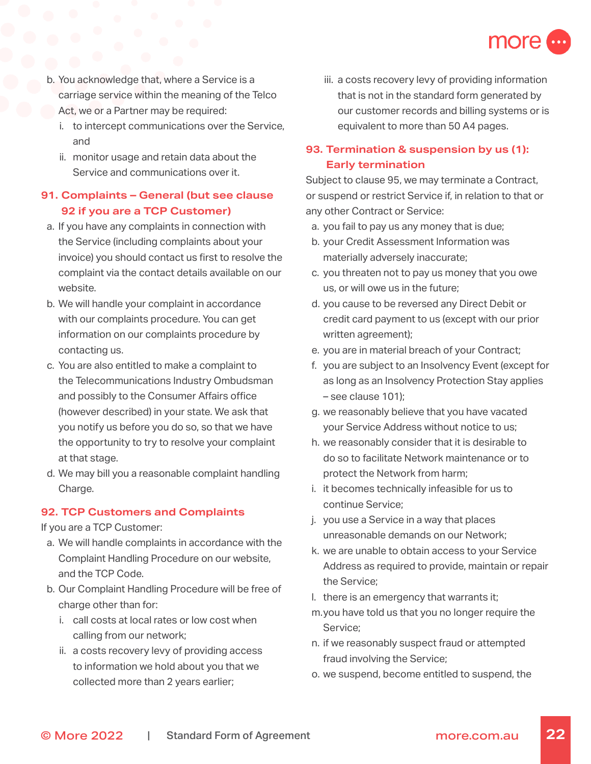

- b. You acknowledge that, where a Service is a carriage service within the meaning of the Telco Act, we or a Partner may be required:
	- i. to intercept communications over the Service, and
	- ii. monitor usage and retain data about the Service and communications over it.

# **91. Complaints – General (but see clause 92 if you are a TCP Customer)**

- a. If you have any complaints in connection with the Service (including complaints about your invoice) you should contact us first to resolve the complaint via the contact details available on our website.
- b. We will handle your complaint in accordance with our complaints procedure. You can get information on our complaints procedure by contacting us.
- c. You are also entitled to make a complaint to the Telecommunications Industry Ombudsman and possibly to the Consumer Affairs office (however described) in your state. We ask that you notify us before you do so, so that we have the opportunity to try to resolve your complaint at that stage.
- d. We may bill you a reasonable complaint handling Charge.

### **92. TCP Customers and Complaints**

If you are a TCP Customer:

- a. We will handle complaints in accordance with the Complaint Handling Procedure on our website, and the TCP Code.
- b. Our Complaint Handling Procedure will be free of charge other than for:
	- i. call costs at local rates or low cost when calling from our network;
	- ii. a costs recovery levy of providing access to information we hold about you that we collected more than 2 years earlier;

iii. a costs recovery levy of providing information that is not in the standard form generated by our customer records and billing systems or is equivalent to more than 50 A4 pages.

# **93. Termination & suspension by us (1): Early termination**

Subject to clause 95, we may terminate a Contract, or suspend or restrict Service if, in relation to that or any other Contract or Service:

- a. you fail to pay us any money that is due;
- b. your Credit Assessment Information was materially adversely inaccurate;
- c. you threaten not to pay us money that you owe us, or will owe us in the future;
- d. you cause to be reversed any Direct Debit or credit card payment to us (except with our prior written agreement);
- e. you are in material breach of your Contract;
- f. you are subject to an Insolvency Event (except for as long as an Insolvency Protection Stay applies – see clause 101);
- g. we reasonably believe that you have vacated your Service Address without notice to us;
- h. we reasonably consider that it is desirable to do so to facilitate Network maintenance or to protect the Network from harm;
- i. it becomes technically infeasible for us to continue Service;
- j. you use a Service in a way that places unreasonable demands on our Network;
- k. we are unable to obtain access to your Service Address as required to provide, maintain or repair the Service;
- l. there is an emergency that warrants it;
- m.you have told us that you no longer require the Service;
- n. if we reasonably suspect fraud or attempted fraud involving the Service;
- o. we suspend, become entitled to suspend, the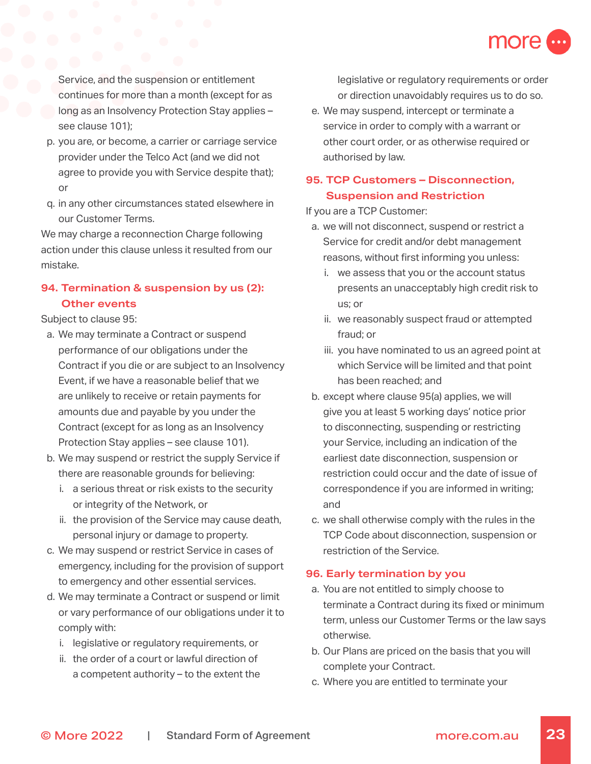

Service, and the suspension or entitlement continues for more than a month (except for as long as an Insolvency Protection Stay applies – see clause 101);

- p. you are, or become, a carrier or carriage service provider under the Telco Act (and we did not agree to provide you with Service despite that); or
- q. in any other circumstances stated elsewhere in our Customer Terms.

We may charge a reconnection Charge following action under this clause unless it resulted from our mistake.

# **94. Termination & suspension by us (2): Other events**

Subject to clause 95:

- a. We may terminate a Contract or suspend performance of our obligations under the Contract if you die or are subject to an Insolvency Event, if we have a reasonable belief that we are unlikely to receive or retain payments for amounts due and payable by you under the Contract (except for as long as an Insolvency Protection Stay applies – see clause 101).
- b. We may suspend or restrict the supply Service if there are reasonable grounds for believing:
	- i. a serious threat or risk exists to the security or integrity of the Network, or
	- ii. the provision of the Service may cause death, personal injury or damage to property.
- c. We may suspend or restrict Service in cases of emergency, including for the provision of support to emergency and other essential services.
- d. We may terminate a Contract or suspend or limit or vary performance of our obligations under it to comply with:
	- i. legislative or regulatory requirements, or
	- ii. the order of a court or lawful direction of a competent authority – to the extent the

legislative or regulatory requirements or order or direction unavoidably requires us to do so.

e. We may suspend, intercept or terminate a service in order to comply with a warrant or other court order, or as otherwise required or authorised by law.

# **95. TCP Customers – Disconnection, Suspension and Restriction**

If you are a TCP Customer:

- a. we will not disconnect, suspend or restrict a Service for credit and/or debt management reasons, without first informing you unless:
	- i. we assess that you or the account status presents an unacceptably high credit risk to us; or
	- ii. we reasonably suspect fraud or attempted fraud; or
	- iii. you have nominated to us an agreed point at which Service will be limited and that point has been reached; and
- b. except where clause 95(a) applies, we will give you at least 5 working days' notice prior to disconnecting, suspending or restricting your Service, including an indication of the earliest date disconnection, suspension or restriction could occur and the date of issue of correspondence if you are informed in writing; and
- c. we shall otherwise comply with the rules in the TCP Code about disconnection, suspension or restriction of the Service.

### **96. Early termination by you**

- a. You are not entitled to simply choose to terminate a Contract during its fixed or minimum term, unless our Customer Terms or the law says otherwise.
- b. Our Plans are priced on the basis that you will complete your Contract.
- c. Where you are entitled to terminate your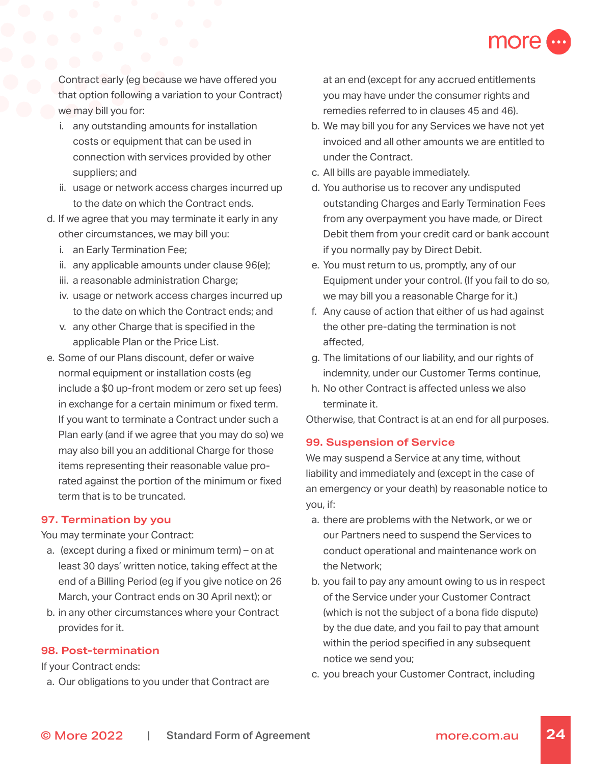

Contract early (eg because we have offered you that option following a variation to your Contract) we may bill you for:

- i. any outstanding amounts for installation costs or equipment that can be used in connection with services provided by other suppliers; and
- ii. usage or network access charges incurred up to the date on which the Contract ends.
- d. If we agree that you may terminate it early in any other circumstances, we may bill you:
	- i. an Early Termination Fee;
	- ii. any applicable amounts under clause 96(e);
	- iii. a reasonable administration Charge;
	- iv. usage or network access charges incurred up to the date on which the Contract ends; and
	- v. any other Charge that is specified in the applicable Plan or the Price List.
- e. Some of our Plans discount, defer or waive normal equipment or installation costs (eg include a \$0 up-front modem or zero set up fees) in exchange for a certain minimum or fixed term. If you want to terminate a Contract under such a Plan early (and if we agree that you may do so) we may also bill you an additional Charge for those items representing their reasonable value prorated against the portion of the minimum or fixed term that is to be truncated.

### **97. Termination by you**

You may terminate your Contract:

- a. (except during a fixed or minimum term) on at least 30 days' written notice, taking effect at the end of a Billing Period (eg if you give notice on 26 March, your Contract ends on 30 April next); or
- b. in any other circumstances where your Contract provides for it.

### **98. Post-termination**

If your Contract ends:

a. Our obligations to you under that Contract are

at an end (except for any accrued entitlements you may have under the consumer rights and remedies referred to in clauses 45 and 46).

- b. We may bill you for any Services we have not yet invoiced and all other amounts we are entitled to under the Contract.
- c. All bills are payable immediately.
- d. You authorise us to recover any undisputed outstanding Charges and Early Termination Fees from any overpayment you have made, or Direct Debit them from your credit card or bank account if you normally pay by Direct Debit.
- e. You must return to us, promptly, any of our Equipment under your control. (If you fail to do so, we may bill you a reasonable Charge for it.)
- f. Any cause of action that either of us had against the other pre-dating the termination is not affected,
- g. The limitations of our liability, and our rights of indemnity, under our Customer Terms continue,
- h. No other Contract is affected unless we also terminate it.

Otherwise, that Contract is at an end for all purposes.

### **99. Suspension of Service**

We may suspend a Service at any time, without liability and immediately and (except in the case of an emergency or your death) by reasonable notice to you, if:

- a. there are problems with the Network, or we or our Partners need to suspend the Services to conduct operational and maintenance work on the Network;
- b. you fail to pay any amount owing to us in respect of the Service under your Customer Contract (which is not the subject of a bona fide dispute) by the due date, and you fail to pay that amount within the period specified in any subsequent notice we send you;
- c. you breach your Customer Contract, including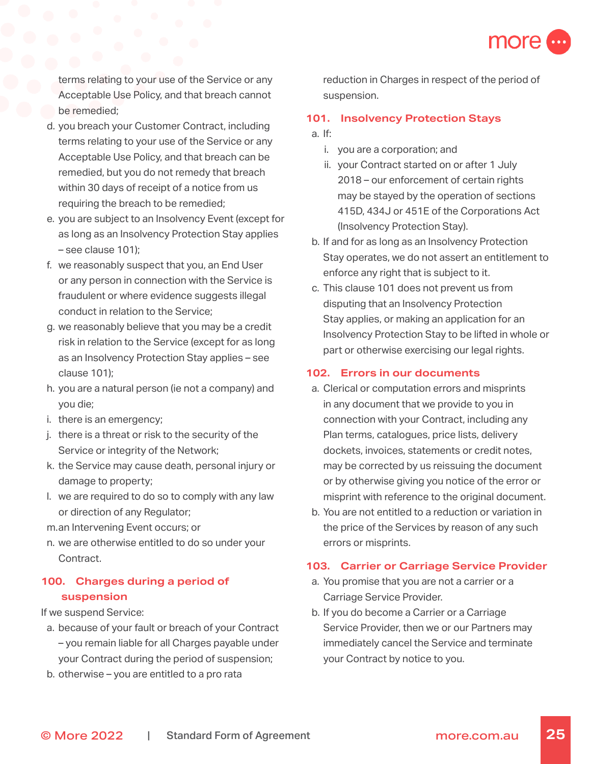

terms relating to your use of the Service or any Acceptable Use Policy, and that breach cannot be remedied;

- d. you breach your Customer Contract, including terms relating to your use of the Service or any Acceptable Use Policy, and that breach can be remedied, but you do not remedy that breach within 30 days of receipt of a notice from us requiring the breach to be remedied;
- e. you are subject to an Insolvency Event (except for as long as an Insolvency Protection Stay applies – see clause 101);
- f. we reasonably suspect that you, an End User or any person in connection with the Service is fraudulent or where evidence suggests illegal conduct in relation to the Service;
- g. we reasonably believe that you may be a credit risk in relation to the Service (except for as long as an Insolvency Protection Stay applies – see clause 101);
- h. you are a natural person (ie not a company) and you die;
- i. there is an emergency;
- j. there is a threat or risk to the security of the Service or integrity of the Network;
- k. the Service may cause death, personal injury or damage to property;
- l. we are required to do so to comply with any law or direction of any Regulator;
- m.an Intervening Event occurs; or
- n. we are otherwise entitled to do so under your Contract.

# **100. Charges during a period of suspension**

If we suspend Service:

- a. because of your fault or breach of your Contract – you remain liable for all Charges payable under your Contract during the period of suspension;
- b. otherwise you are entitled to a pro rata

reduction in Charges in respect of the period of suspension.

#### **101. Insolvency Protection Stays**

- a. If:
	- i. you are a corporation; and
	- ii. your Contract started on or after 1 July 2018 – our enforcement of certain rights may be stayed by the operation of sections 415D, 434J or 451E of the Corporations Act (Insolvency Protection Stay).
- b. If and for as long as an Insolvency Protection Stay operates, we do not assert an entitlement to enforce any right that is subject to it.
- c. This clause 101 does not prevent us from disputing that an Insolvency Protection Stay applies, or making an application for an Insolvency Protection Stay to be lifted in whole or part or otherwise exercising our legal rights.

### **102. Errors in our documents**

- a. Clerical or computation errors and misprints in any document that we provide to you in connection with your Contract, including any Plan terms, catalogues, price lists, delivery dockets, invoices, statements or credit notes, may be corrected by us reissuing the document or by otherwise giving you notice of the error or misprint with reference to the original document.
- b. You are not entitled to a reduction or variation in the price of the Services by reason of any such errors or misprints.

### **103. Carrier or Carriage Service Provider**

- a. You promise that you are not a carrier or a Carriage Service Provider.
- b. If you do become a Carrier or a Carriage Service Provider, then we or our Partners may immediately cancel the Service and terminate your Contract by notice to you.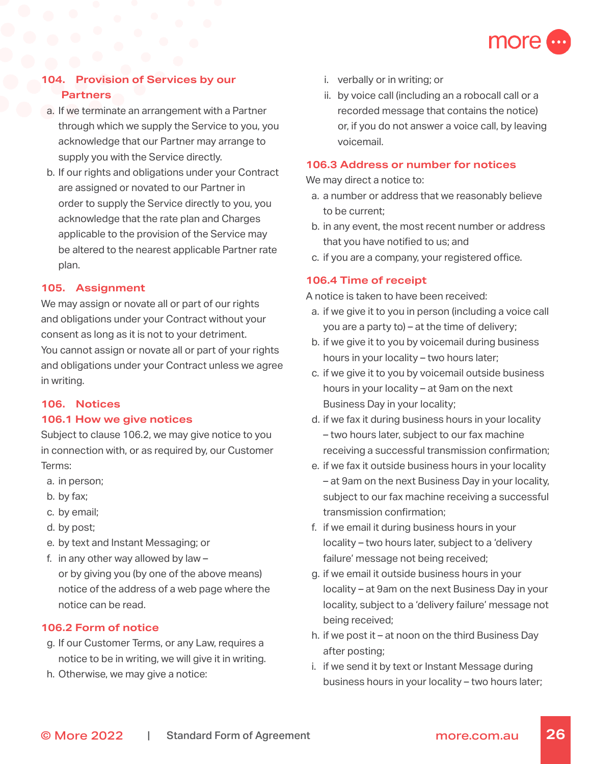

# **104. Provision of Services by our Partners**

- a. If we terminate an arrangement with a Partner through which we supply the Service to you, you acknowledge that our Partner may arrange to supply you with the Service directly.
- b. If our rights and obligations under your Contract are assigned or novated to our Partner in order to supply the Service directly to you, you acknowledge that the rate plan and Charges applicable to the provision of the Service may be altered to the nearest applicable Partner rate plan.

### **105. Assignment**

We may assign or novate all or part of our rights and obligations under your Contract without your consent as long as it is not to your detriment. You cannot assign or novate all or part of your rights and obligations under your Contract unless we agree in writing.

#### **106. Notices**

#### **106.1 How we give notices**

Subject to clause 106.2, we may give notice to you in connection with, or as required by, our Customer Terms:

- a. in person;
- b. by fax;
- c. by email;
- d. by post;
- e. by text and Instant Messaging; or
- f. in any other way allowed by law or by giving you (by one of the above means) notice of the address of a web page where the notice can be read.

### **106.2 Form of notice**

- g. If our Customer Terms, or any Law, requires a notice to be in writing, we will give it in writing.
- h. Otherwise, we may give a notice:
- i. verbally or in writing; or
- ii. by voice call (including an a robocall call or a recorded message that contains the notice) or, if you do not answer a voice call, by leaving voicemail.

### **106.3 Address or number for notices**

We may direct a notice to:

- a. a number or address that we reasonably believe to be current;
- b. in any event, the most recent number or address that you have notified to us; and
- c. if you are a company, your registered office.

### **106.4 Time of receipt**

A notice is taken to have been received:

- a. if we give it to you in person (including a voice call you are a party to) – at the time of delivery;
- b. if we give it to you by voicemail during business hours in your locality – two hours later;
- c. if we give it to you by voicemail outside business hours in your locality – at 9am on the next Business Day in your locality;
- d. if we fax it during business hours in your locality – two hours later, subject to our fax machine receiving a successful transmission confirmation;
- e. if we fax it outside business hours in your locality – at 9am on the next Business Day in your locality, subject to our fax machine receiving a successful transmission confirmation;
- f. if we email it during business hours in your locality – two hours later, subject to a 'delivery failure' message not being received;
- g. if we email it outside business hours in your locality – at 9am on the next Business Day in your locality, subject to a 'delivery failure' message not being received;
- h. if we post it at noon on the third Business Day after posting;
- i. if we send it by text or Instant Message during business hours in your locality – two hours later;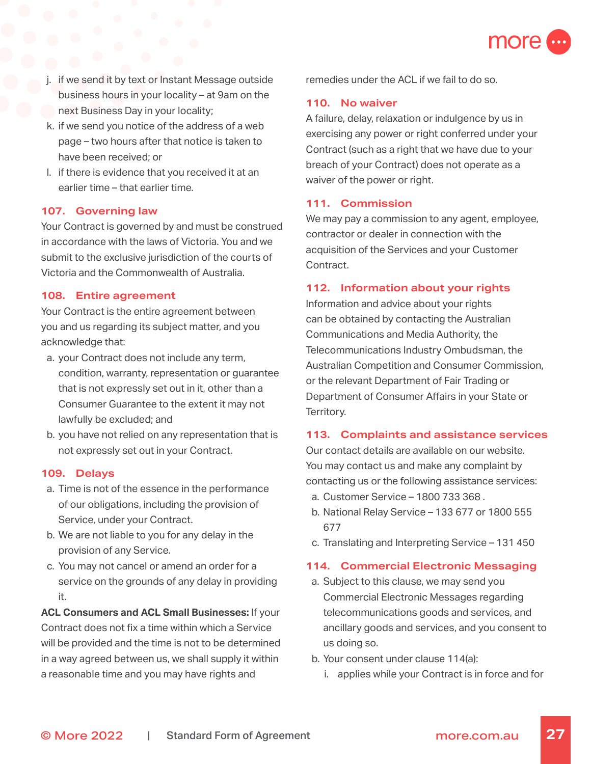

- j. if we send it by text or Instant Message outside business hours in your locality – at 9am on the next Business Day in your locality;
- k. if we send you notice of the address of a web page – two hours after that notice is taken to have been received; or
- l. if there is evidence that you received it at an earlier time – that earlier time.

#### **107. Governing law**

Your Contract is governed by and must be construed in accordance with the laws of Victoria. You and we submit to the exclusive jurisdiction of the courts of Victoria and the Commonwealth of Australia.

#### **108. Entire agreement**

Your Contract is the entire agreement between you and us regarding its subject matter, and you acknowledge that:

- a. your Contract does not include any term, condition, warranty, representation or guarantee that is not expressly set out in it, other than a Consumer Guarantee to the extent it may not lawfully be excluded; and
- b. you have not relied on any representation that is not expressly set out in your Contract.

#### **109. Delays**

- a. Time is not of the essence in the performance of our obligations, including the provision of Service, under your Contract.
- b. We are not liable to you for any delay in the provision of any Service.
- c. You may not cancel or amend an order for a service on the grounds of any delay in providing it.

**ACL Consumers and ACL Small Businesses:** If your Contract does not fix a time within which a Service will be provided and the time is not to be determined in a way agreed between us, we shall supply it within a reasonable time and you may have rights and

remedies under the ACL if we fail to do so.

### **110. No waiver**

A failure, delay, relaxation or indulgence by us in exercising any power or right conferred under your Contract (such as a right that we have due to your breach of your Contract) does not operate as a waiver of the power or right.

#### **111. Commission**

We may pay a commission to any agent, employee, contractor or dealer in connection with the acquisition of the Services and your Customer Contract.

#### **112. Information about your rights**

Information and advice about your rights can be obtained by contacting the Australian Communications and Media Authority, the Telecommunications Industry Ombudsman, the Australian Competition and Consumer Commission, or the relevant Department of Fair Trading or Department of Consumer Affairs in your State or Territory.

#### **113. Complaints and assistance services**

Our contact details are available on our website. You may contact us and make any complaint by contacting us or the following assistance services:

- a. Customer Service – [1800 733 368](tel:1800733368) .
- b. National Relay Service 133 677 or [1800 555](tel:1800555677)  [677](tel:1800555677)
- c. Translating and Interpreting Service 131 450

#### **114. Commercial Electronic Messaging**

- a. Subject to this clause, we may send you Commercial Electronic Messages regarding telecommunications goods and services, and ancillary goods and services, and you consent to us doing so.
- b. Your consent under clause 114(a):
	- i. applies while your Contract is in force and for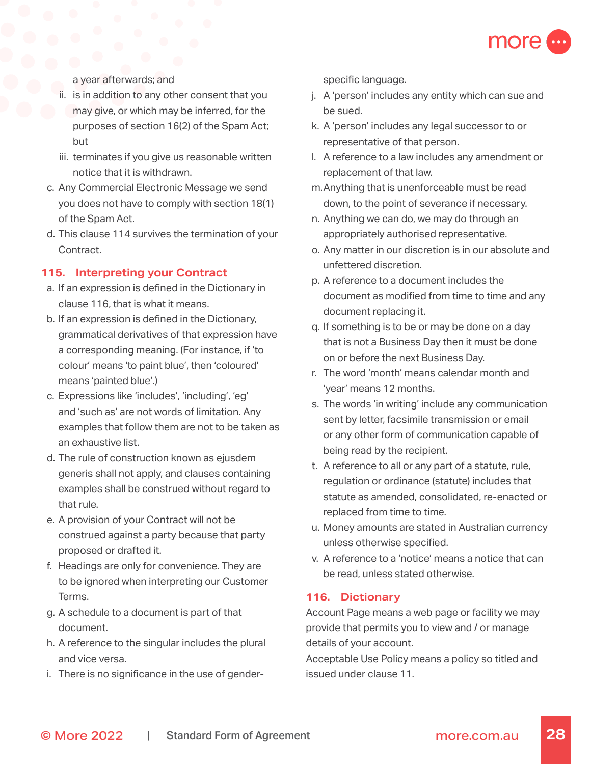

a year afterwards; and

- ii. is in addition to any other consent that you may give, or which may be inferred, for the purposes of section 16(2) of the Spam Act; but
- iii. terminates if you give us reasonable written notice that it is withdrawn.
- c. Any Commercial Electronic Message we send you does not have to comply with section 18(1) of the Spam Act.
- d. This clause 114 survives the termination of your Contract.

### **115. Interpreting your Contract**

- a. If an expression is defined in the Dictionary in clause 116, that is what it means.
- b. If an expression is defined in the Dictionary, grammatical derivatives of that expression have a corresponding meaning. (For instance, if 'to colour' means 'to paint blue', then 'coloured' means 'painted blue'.)
- c. Expressions like 'includes', 'including', 'eg' and 'such as' are not words of limitation. Any examples that follow them are not to be taken as an exhaustive list.
- d. The rule of construction known as ejusdem generis shall not apply, and clauses containing examples shall be construed without regard to that rule.
- e. A provision of your Contract will not be construed against a party because that party proposed or drafted it.
- f. Headings are only for convenience. They are to be ignored when interpreting our Customer Terms.
- g. A schedule to a document is part of that document.
- h. A reference to the singular includes the plural and vice versa.
- i. There is no significance in the use of gender-

specific language.

- j. A 'person' includes any entity which can sue and be sued.
- k. A 'person' includes any legal successor to or representative of that person.
- l. A reference to a law includes any amendment or replacement of that law.
- m.Anything that is unenforceable must be read down, to the point of severance if necessary.
- n. Anything we can do, we may do through an appropriately authorised representative.
- o. Any matter in our discretion is in our absolute and unfettered discretion.
- p. A reference to a document includes the document as modified from time to time and any document replacing it.
- q. If something is to be or may be done on a day that is not a Business Day then it must be done on or before the next Business Day.
- r. The word 'month' means calendar month and 'year' means 12 months.
- s. The words 'in writing' include any communication sent by letter, facsimile transmission or email or any other form of communication capable of being read by the recipient.
- t. A reference to all or any part of a statute, rule, regulation or ordinance (statute) includes that statute as amended, consolidated, re-enacted or replaced from time to time.
- u. Money amounts are stated in Australian currency unless otherwise specified.
- v. A reference to a 'notice' means a notice that can be read, unless stated otherwise.

### **116. Dictionary**

Account Page means a web page or facility we may provide that permits you to view and / or manage details of your account.

Acceptable Use Policy means a policy so titled and issued under clause 11.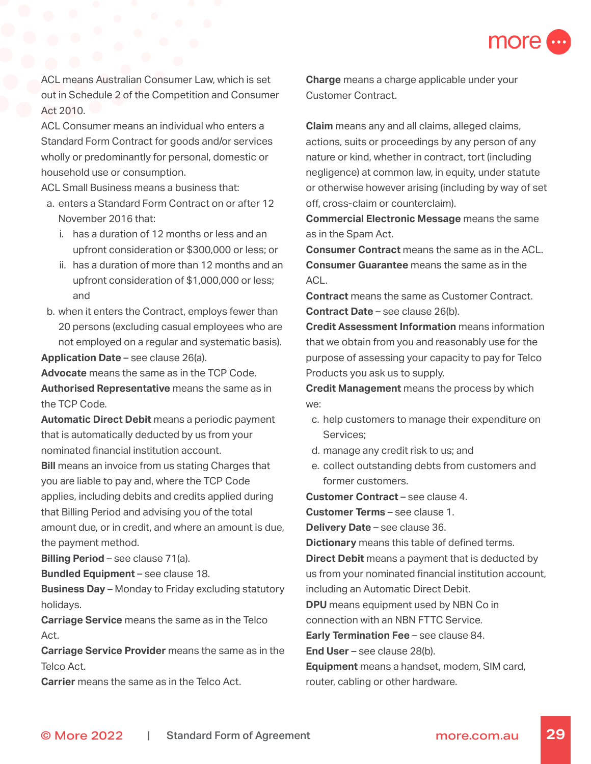

ACL means Australian Consumer Law, which is set out in Schedule 2 of the Competition and Consumer Act 2010.

ACL Consumer means an individual who enters a Standard Form Contract for goods and/or services wholly or predominantly for personal, domestic or household use or consumption.

ACL Small Business means a business that:

- a. enters a Standard Form Contract on or after 12 November 2016 that:
	- i. has a duration of 12 months or less and an upfront consideration or \$300,000 or less; or
	- ii. has a duration of more than 12 months and an upfront consideration of \$1,000,000 or less; and
- b. when it enters the Contract, employs fewer than 20 persons (excluding casual employees who are not employed on a regular and systematic basis).

**Application Date** – see clause 26(a).

**Advocate** means the same as in the TCP Code. **Authorised Representative** means the same as in the TCP Code.

**Automatic Direct Debit** means a periodic payment that is automatically deducted by us from your nominated financial institution account.

**Bill** means an invoice from us stating Charges that you are liable to pay and, where the TCP Code applies, including debits and credits applied during that Billing Period and advising you of the total amount due, or in credit, and where an amount is due, the payment method.

**Billing Period** – see clause 71(a).

**Bundled Equipment** - see clause 18.

**Business Day** – Monday to Friday excluding statutory holidays.

**Carriage Service** means the same as in the Telco Act.

**Carriage Service Provider** means the same as in the Telco Act.

**Carrier** means the same as in the Telco Act.

**Charge** means a charge applicable under your Customer Contract.

**Claim** means any and all claims, alleged claims, actions, suits or proceedings by any person of any nature or kind, whether in contract, tort (including negligence) at common law, in equity, under statute or otherwise however arising (including by way of set off, cross-claim or counterclaim).

**Commercial Electronic Message** means the same as in the Spam Act.

**Consumer Contract** means the same as in the ACL. **Consumer Guarantee** means the same as in the ACL.

**Contract** means the same as Customer Contract. **Contract Date** – see clause 26(b).

**Credit Assessment Information** means information that we obtain from you and reasonably use for the purpose of assessing your capacity to pay for Telco Products you ask us to supply.

**Credit Management** means the process by which we:

- c. help customers to manage their expenditure on Services;
- d. manage any credit risk to us; and
- e. collect outstanding debts from customers and former customers.

**Customer Contract** – see clause 4.

**Customer Terms** – see clause 1.

**Delivery Date** – see clause 36.

**Dictionary** means this table of defined terms.

**Direct Debit** means a payment that is deducted by us from your nominated financial institution account, including an Automatic Direct Debit.

**DPU** means equipment used by NBN Co in

connection with an NBN FTTC Service.

**Early Termination Fee** – see clause 84.

**End User** – see clause 28(b).

**Equipment** means a handset, modem, SIM card, router, cabling or other hardware.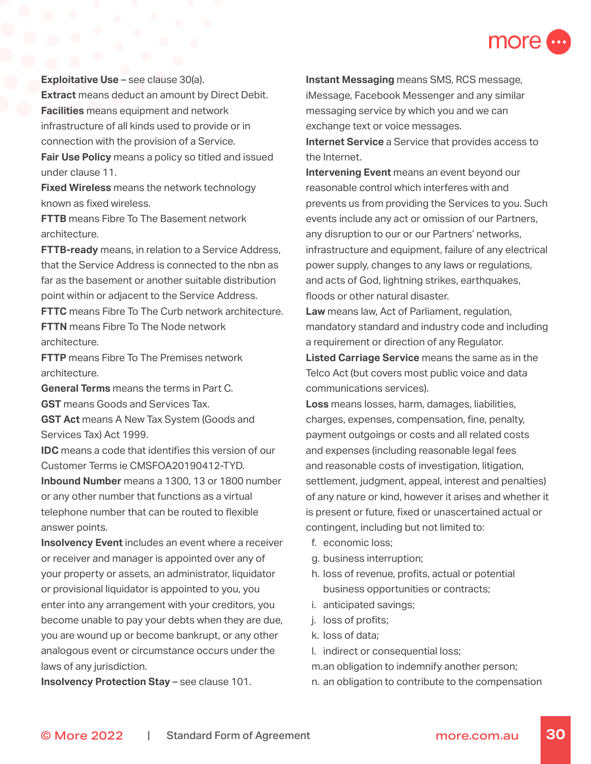

**Exploitative Use** – see clause 30(a). **Extract** means deduct an amount by Direct Debit. **Facilities** means equipment and network infrastructure of all kinds used to provide or in connection with the provision of a Service. **Fair Use Policy** means a policy so titled and issued

**Fixed Wireless** means the network technology known as fixed wireless.

under clause 11.

**FTTB** means Fibre To The Basement network architecture.

**FTTB-ready** means, in relation to a Service Address, that the Service Address is connected to the nbn as far as the basement or another suitable distribution point within or adjacent to the Service Address.

**FTTC** means Fibre To The Curb network architecture. **FTTN** means Fibre To The Node network architecture.

**FTTP** means Fibre To The Premises network architecture.

**General Terms** means the terms in Part C. **GST** means Goods and Services Tax.

**GST Act** means A New Tax System (Goods and Services Tax) Act 1999.

**IDC** means a code that identifies this version of our Customer Terms ie CMSFOA20190412-TYD. **Inbound Number** means a 1300, 13 or 1800 number or any other number that functions as a virtual telephone number that can be routed to flexible answer points.

**Insolvency Event** includes an event where a receiver or receiver and manager is appointed over any of your property or assets, an administrator, liquidator or provisional liquidator is appointed to you, you enter into any arrangement with your creditors, you become unable to pay your debts when they are due, you are wound up or become bankrupt, or any other analogous event or circumstance occurs under the laws of any jurisdiction.

**Insolvency Protection Stay** – see clause 101.

**Instant Messaging** means SMS, RCS message, iMessage, Facebook Messenger and any similar messaging service by which you and we can exchange text or voice messages.

**Internet Service** a Service that provides access to the Internet.

**Intervening Event** means an event beyond our reasonable control which interferes with and prevents us from providing the Services to you. Such events include any act or omission of our Partners, any disruption to our or our Partners' networks, infrastructure and equipment, failure of any electrical power supply, changes to any laws or regulations, and acts of God, lightning strikes, earthquakes, floods or other natural disaster.

**Law** means law, Act of Parliament, regulation, mandatory standard and industry code and including a requirement or direction of any Regulator.

**Listed Carriage Service** means the same as in the Telco Act (but covers most public voice and data communications services).

**Loss** means losses, harm, damages, liabilities, charges, expenses, compensation, fine, penalty, payment outgoings or costs and all related costs and expenses (including reasonable legal fees and reasonable costs of investigation, litigation, settlement, judgment, appeal, interest and penalties) of any nature or kind, however it arises and whether it is present or future, fixed or unascertained actual or contingent, including but not limited to:

- f. economic loss;
- g. business interruption;
- h. loss of revenue, profits, actual or potential business opportunities or contracts;
- i. anticipated savings;
- j. loss of profits;
- k. loss of data;
- l. indirect or consequential loss;

m.an obligation to indemnify another person;

n. an obligation to contribute to the compensation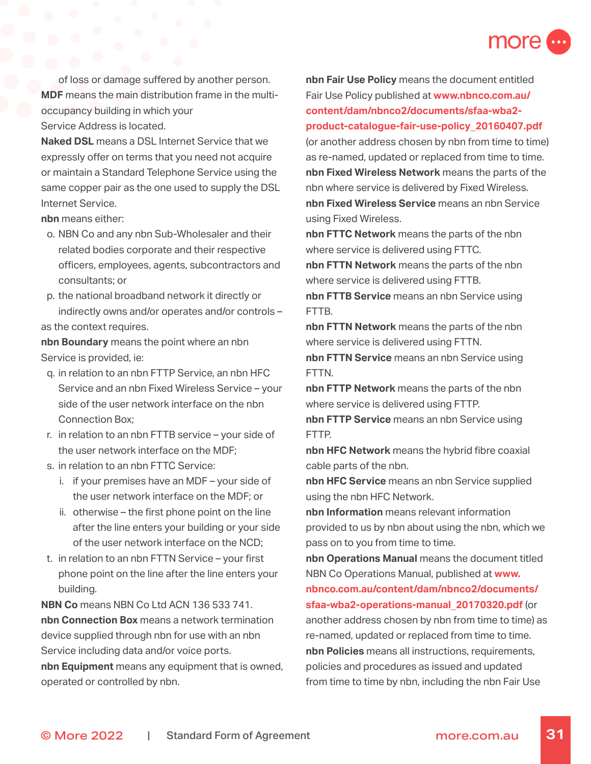

of loss or damage suffered by another person. **MDF** means the main distribution frame in the multioccupancy building in which your Service Address is located.

**Naked DSL** means a DSL Internet Service that we expressly offer on terms that you need not acquire or maintain a Standard Telephone Service using the same copper pair as the one used to supply the DSL Internet Service.

**nbn** means either:

- o. NBN Co and any nbn Sub-Wholesaler and their related bodies corporate and their respective officers, employees, agents, subcontractors and consultants; or
- p. the national broadband network it directly or indirectly owns and/or operates and/or controls – as the context requires.

**nbn Boundary** means the point where an nbn Service is provided, ie:

- q. in relation to an nbn FTTP Service, an nbn HFC Service and an nbn Fixed Wireless Service – your side of the user network interface on the nbn Connection Box;
- r. in relation to an nbn FTTB service your side of the user network interface on the MDF;
- s. in relation to an nbn FTTC Service:
	- i. if your premises have an MDF your side of the user network interface on the MDF; or
	- ii. otherwise the first phone point on the line after the line enters your building or your side of the user network interface on the NCD;
- t. in relation to an nbn FTTN Service your first phone point on the line after the line enters your building.

**NBN Co** means NBN Co Ltd ACN 136 533 741. **nbn Connection Box** means a network termination device supplied through nbn for use with an nbn Service including data and/or voice ports. **nbn Equipment** means any equipment that is owned,

operated or controlled by nbn.

**nbn Fair Use Policy** means the document entitled Fair Use Policy published at **[www.nbnco.com.au/](http://www.nbnco.com.au/content/dam/nbnco2/documents/sfaa-wba2-product-catalogue-fair-use-policy_20160407.p) [content/dam/nbnco2/documents/sfaa-wba2](http://www.nbnco.com.au/content/dam/nbnco2/documents/sfaa-wba2-product-catalogue-fair-use-policy_20160407.p) [product-catalogue-fair-use-policy\\_20160407.pdf](http://www.nbnco.com.au/content/dam/nbnco2/documents/sfaa-wba2-product-catalogue-fair-use-policy_20160407.p)**

(or another address chosen by nbn from time to time) as re-named, updated or replaced from time to time. **nbn Fixed Wireless Network** means the parts of the nbn where service is delivered by Fixed Wireless. **nbn Fixed Wireless Service** means an nbn Service using Fixed Wireless.

**nbn FTTC Network** means the parts of the nbn where service is delivered using FTTC.

**nbn FTTN Network** means the parts of the nbn where service is delivered using FTTB.

**nbn FTTB Service** means an nbn Service using FTTB.

**nbn FTTN Network** means the parts of the nbn where service is delivered using FTTN.

**nbn FTTN Service** means an nbn Service using FTTN.

**nbn FTTP Network** means the parts of the nbn where service is delivered using FTTP.

**nbn FTTP Service** means an nbn Service using FTTP.

**nbn HFC Network** means the hybrid fibre coaxial cable parts of the nbn.

**nbn HFC Service** means an nbn Service supplied using the nbn HFC Network.

**nbn Information** means relevant information provided to us by nbn about using the nbn, which we pass on to you from time to time.

**nbn Operations Manual** means the document titled NBN Co Operations Manual, published at **[www.](http://www.nbnco.com.au/content/dam/nbnco2/documents/sfaa-wba2-operations-manual_20170320.pdf) [nbnco.com.au/content/dam/nbnco2/documents/](http://www.nbnco.com.au/content/dam/nbnco2/documents/sfaa-wba2-operations-manual_20170320.pdf) [sfaa-wba2-operations-manual\\_20170320.pdf](http://www.nbnco.com.au/content/dam/nbnco2/documents/sfaa-wba2-operations-manual_20170320.pdf)** (or another address chosen by nbn from time to time) as

re-named, updated or replaced from time to time. **nbn Policies** means all instructions, requirements, policies and procedures as issued and updated from time to time by nbn, including the nbn Fair Use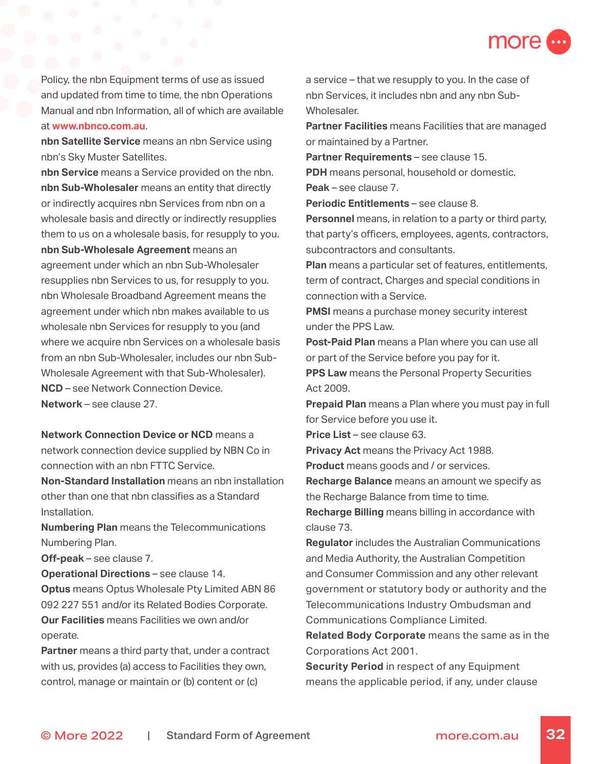

Policy, the nbn Equipment terms of use as issued and updated from time to time, the nbn Operations Manual and nbn Information, all of which are available at **[www.nbnco.com.au](http://www.nbnco.com.au)**.

**nbn Satellite Service** means an nbn Service using nbn's Sky Muster Satellites.

**nbn Service** means a Service provided on the nbn. **nbn Sub-Wholesaler** means an entity that directly or indirectly acquires nbn Services from nbn on a wholesale basis and directly or indirectly resupplies them to us on a wholesale basis, for resupply to you. **nbn Sub-Wholesale Agreement** means an agreement under which an nbn Sub-Wholesaler resupplies nbn Services to us, for resupply to you. nbn Wholesale Broadband Agreement means the agreement under which nbn makes available to us wholesale nbn Services for resupply to you (and where we acquire nbn Services on a wholesale basis from an nbn Sub-Wholesaler, includes our nbn Sub-Wholesale Agreement with that Sub-Wholesaler). **NCD** – see Network Connection Device. **Network** – see clause 27.

**Network Connection Device or NCD** means a network connection device supplied by NBN Co in connection with an nbn FTTC Service.

**Non-Standard Installation** means an nbn installation other than one that nbn classifies as a Standard Installation.

**Numbering Plan** means the Telecommunications Numbering Plan.

**Off-peak** – see clause 7.

**Operational Directions - see clause 14. Optus** means Optus Wholesale Pty Limited ABN 86 092 227 551 and/or its Related Bodies Corporate. **Our Facilities** means Facilities we own and/or operate.

**Partner** means a third party that, under a contract with us, provides (a) access to Facilities they own, control, manage or maintain or (b) content or (c)

a service – that we resupply to you. In the case of nbn Services, it includes nbn and any nbn Sub-Wholesaler.

**Partner Facilities** means Facilities that are managed or maintained by a Partner.

**Partner Requirements - see clause 15.** 

**PDH** means personal, household or domestic.

**Periodic Entitlements - see clause 8.** 

**Peak** – see clause 7.

**Personnel** means, in relation to a party or third party, that party's officers, employees, agents, contractors, subcontractors and consultants.

**Plan** means a particular set of features, entitlements, term of contract, Charges and special conditions in connection with a Service.

**PMSI** means a purchase money security interest under the PPS Law.

**Post-Paid Plan** means a Plan where you can use all or part of the Service before you pay for it.

**PPS Law** means the Personal Property Securities Act 2009.

**Prepaid Plan** means a Plan where you must pay in full for Service before you use it.

**Price List** – see clause 63.

**Privacy Act** means the Privacy Act 1988.

**Product** means goods and / or services.

**Recharge Balance** means an amount we specify as the Recharge Balance from time to time.

**Recharge Billing** means billing in accordance with clause 73.

**Regulator** includes the Australian Communications and Media Authority, the Australian Competition and Consumer Commission and any other relevant government or statutory body or authority and the Telecommunications Industry Ombudsman and Communications Compliance Limited.

**Related Body Corporate** means the same as in the Corporations Act 2001.

**Security Period** in respect of any Equipment means the applicable period, if any, under clause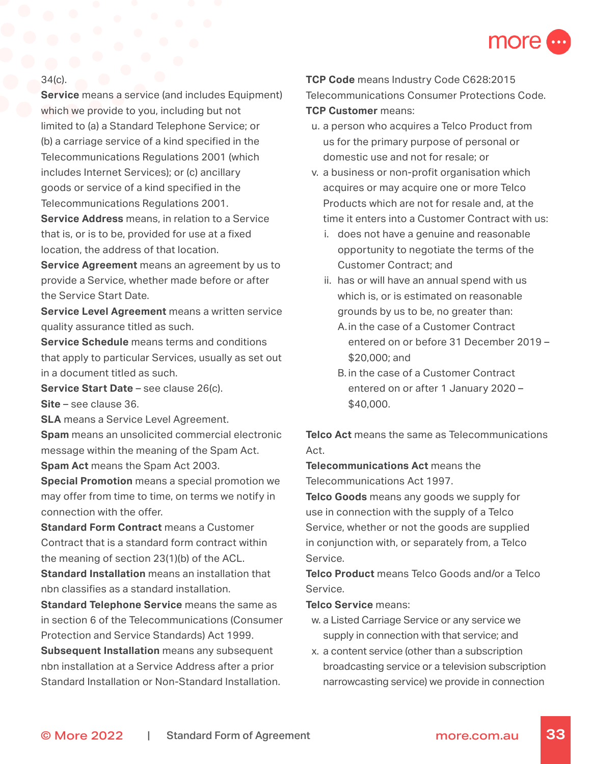

### 34(c).

**Service** means a service (and includes Equipment) which we provide to you, including but not limited to (a) a Standard Telephone Service; or (b) a carriage service of a kind specified in the Telecommunications Regulations 2001 (which includes Internet Services); or (c) ancillary goods or service of a kind specified in the Telecommunications Regulations 2001.

**Service Address** means, in relation to a Service that is, or is to be, provided for use at a fixed location, the address of that location.

**Service Agreement** means an agreement by us to provide a Service, whether made before or after the Service Start Date.

**Service Level Agreement** means a written service quality assurance titled as such.

**Service Schedule** means terms and conditions that apply to particular Services, usually as set out in a document titled as such.

**Service Start Date** – see clause 26(c). **Site** – see clause 36.

**SLA** means a Service Level Agreement. **Spam** means an unsolicited commercial electronic message within the meaning of the Spam Act.

**Spam Act** means the Spam Act 2003.

**Special Promotion** means a special promotion we may offer from time to time, on terms we notify in connection with the offer.

**Standard Form Contract** means a Customer Contract that is a standard form contract within the meaning of section 23(1)(b) of the ACL. **Standard Installation** means an installation that nbn classifies as a standard installation.

**Standard Telephone Service** means the same as in section 6 of the Telecommunications (Consumer Protection and Service Standards) Act 1999.

**Subsequent Installation** means any subsequent nbn installation at a Service Address after a prior Standard Installation or Non-Standard Installation. **TCP Code** means Industry Code C628:2015 Telecommunications Consumer Protections Code. **TCP Customer** means:

- u. a person who acquires a Telco Product from us for the primary purpose of personal or domestic use and not for resale; or
- v. a business or non-profit organisation which acquires or may acquire one or more Telco Products which are not for resale and, at the time it enters into a Customer Contract with us:
	- i. does not have a genuine and reasonable opportunity to negotiate the terms of the Customer Contract; and
	- ii. has or will have an annual spend with us which is, or is estimated on reasonable grounds by us to be, no greater than:
		- A. in the case of a Customer Contract entered on or before 31 December 2019 – \$20,000; and
		- B. in the case of a Customer Contract entered on or after 1 January 2020 – \$40,000.

**Telco Act** means the same as Telecommunications Act.

**Telecommunications Act** means the Telecommunications Act 1997.

**Telco Goods** means any goods we supply for use in connection with the supply of a Telco Service, whether or not the goods are supplied in conjunction with, or separately from, a Telco Service.

**Telco Product** means Telco Goods and/or a Telco Service.

**Telco Service** means:

- w. a Listed Carriage Service or any service we supply in connection with that service; and
- x. a content service (other than a subscription broadcasting service or a television subscription narrowcasting service) we provide in connection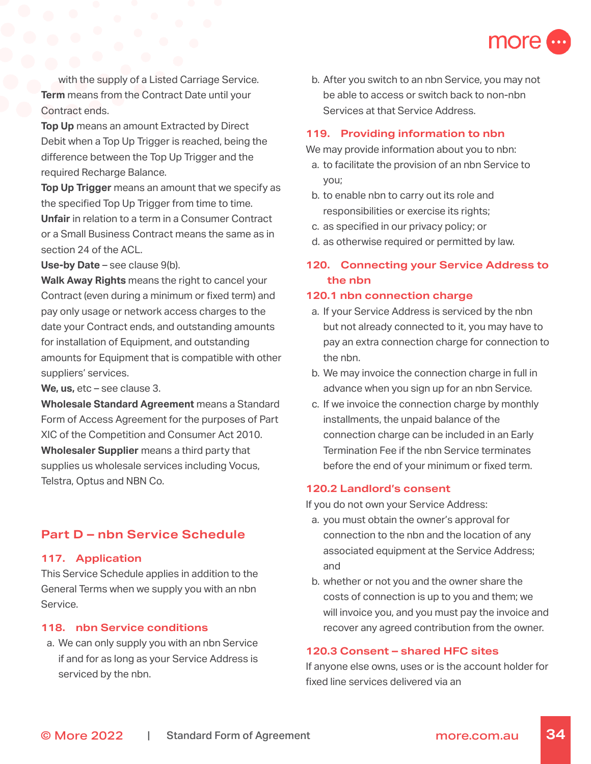

with the supply of a Listed Carriage Service. **Term** means from the Contract Date until your Contract ends.

**Top Up** means an amount Extracted by Direct Debit when a Top Up Trigger is reached, being the difference between the Top Up Trigger and the required Recharge Balance.

**Top Up Trigger** means an amount that we specify as the specified Top Up Trigger from time to time. **Unfair** in relation to a term in a Consumer Contract or a Small Business Contract means the same as in section 24 of the ACL.

**Use-by Date** – see clause 9(b).

**Walk Away Rights** means the right to cancel your Contract (even during a minimum or fixed term) and pay only usage or network access charges to the date your Contract ends, and outstanding amounts for installation of Equipment, and outstanding amounts for Equipment that is compatible with other suppliers' services.

**We, us,** etc – see clause 3.

**Wholesale Standard Agreement** means a Standard Form of Access Agreement for the purposes of Part XIC of the Competition and Consumer Act 2010. **Wholesaler Supplier** means a third party that supplies us wholesale services including Vocus, Telstra, Optus and NBN Co.

# **Part D – nbn Service Schedule**

### **117. Application**

This Service Schedule applies in addition to the General Terms when we supply you with an nbn Service.

### **118. nbn Service conditions**

a. We can only supply you with an nbn Service if and for as long as your Service Address is serviced by the nbn.

b. After you switch to an nbn Service, you may not be able to access or switch back to non-nbn Services at that Service Address.

### **119. Providing information to nbn**

We may provide information about you to nbn:

- a. to facilitate the provision of an nbn Service to you;
- b. to enable nbn to carry out its role and responsibilities or exercise its rights;
- c. as specified in our privacy policy; or
- d. as otherwise required or permitted by law.

# **120. Connecting your Service Address to the nbn**

### **120.1 nbn connection charge**

- a. If your Service Address is serviced by the nbn but not already connected to it, you may have to pay an extra connection charge for connection to the nbn.
- b. We may invoice the connection charge in full in advance when you sign up for an nbn Service.
- c. If we invoice the connection charge by monthly installments, the unpaid balance of the connection charge can be included in an Early Termination Fee if the nbn Service terminates before the end of your minimum or fixed term.

### **120.2 Landlord's consent**

If you do not own your Service Address:

- a. you must obtain the owner's approval for connection to the nbn and the location of any associated equipment at the Service Address; and
- b. whether or not you and the owner share the costs of connection is up to you and them; we will invoice you, and you must pay the invoice and recover any agreed contribution from the owner.

### **120.3 Consent – shared HFC sites**

If anyone else owns, uses or is the account holder for fixed line services delivered via an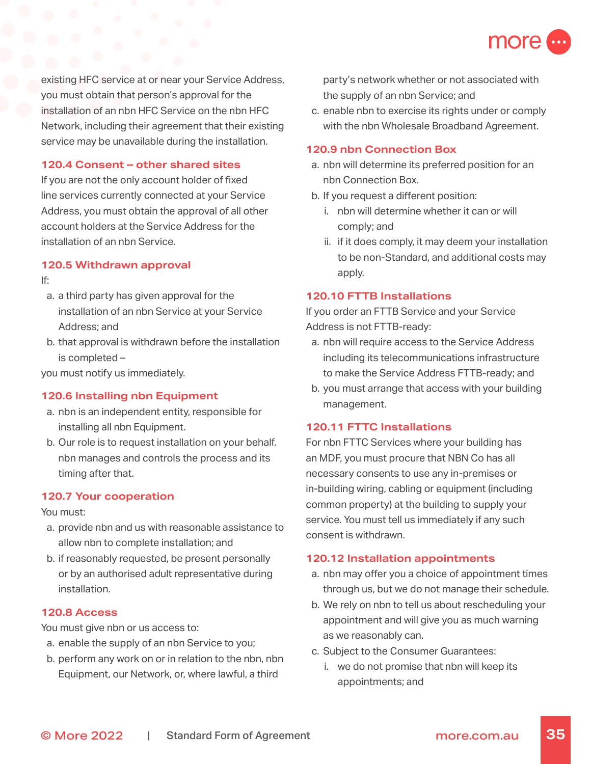

existing HFC service at or near your Service Address, you must obtain that person's approval for the installation of an nbn HFC Service on the nbn HFC Network, including their agreement that their existing service may be unavailable during the installation.

### **120.4 Consent – other shared sites**

If you are not the only account holder of fixed line services currently connected at your Service Address, you must obtain the approval of all other account holders at the Service Address for the installation of an nbn Service.

#### **120.5 Withdrawn approval**

If:

- a. a third party has given approval for the installation of an nbn Service at your Service Address; and
- b. that approval is withdrawn before the installation is completed –

you must notify us immediately.

### **120.6 Installing nbn Equipment**

- a. nbn is an independent entity, responsible for installing all nbn Equipment.
- b. Our role is to request installation on your behalf. nbn manages and controls the process and its timing after that.

### **120.7 Your cooperation**

You must:

- a. provide nbn and us with reasonable assistance to allow nbn to complete installation; and
- b. if reasonably requested, be present personally or by an authorised adult representative during installation.

### **120.8 Access**

You must give nbn or us access to:

- a. enable the supply of an nbn Service to you;
- b. perform any work on or in relation to the nbn, nbn Equipment, our Network, or, where lawful, a third

party's network whether or not associated with the supply of an nbn Service; and

c. enable nbn to exercise its rights under or comply with the nbn Wholesale Broadband Agreement.

### **120.9 nbn Connection Box**

- a. nbn will determine its preferred position for an nbn Connection Box.
- b. If you request a different position:
	- i. nbn will determine whether it can or will comply; and
	- ii. if it does comply, it may deem your installation to be non-Standard, and additional costs may apply.

### **120.10 FTTB Installations**

If you order an FTTB Service and your Service Address is not FTTB-ready:

- a. nbn will require access to the Service Address including its telecommunications infrastructure to make the Service Address FTTB-ready; and
- b. you must arrange that access with your building management.

### **120.11 FTTC Installations**

For nbn FTTC Services where your building has an MDF, you must procure that NBN Co has all necessary consents to use any in-premises or in-building wiring, cabling or equipment (including common property) at the building to supply your service. You must tell us immediately if any such consent is withdrawn.

### **120.12 Installation appointments**

- a. nbn may offer you a choice of appointment times through us, but we do not manage their schedule.
- b. We rely on nbn to tell us about rescheduling your appointment and will give you as much warning as we reasonably can.
- c. Subject to the Consumer Guarantees:
	- i. we do not promise that nbn will keep its appointments; and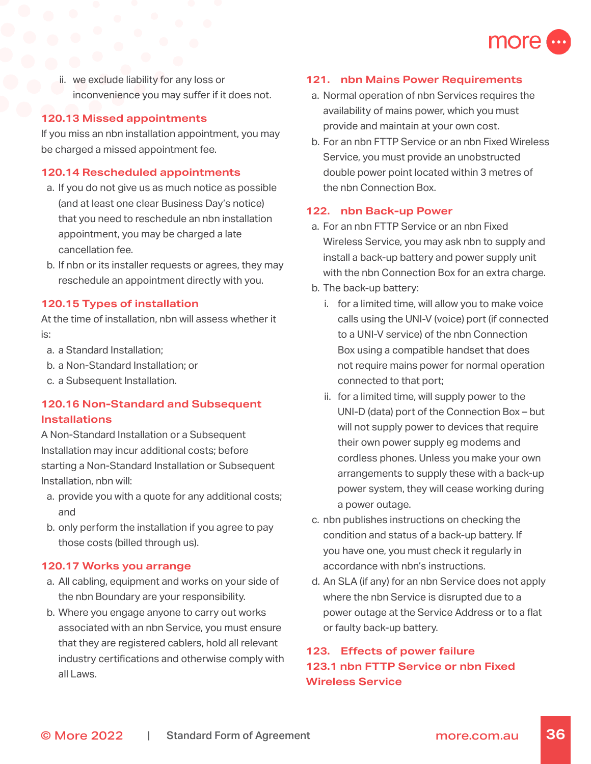

ii. we exclude liability for any loss or inconvenience you may suffer if it does not.

### **120.13 Missed appointments**

If you miss an nbn installation appointment, you may be charged a missed appointment fee.

### **120.14 Rescheduled appointments**

- a. If you do not give us as much notice as possible (and at least one clear Business Day's notice) that you need to reschedule an nbn installation appointment, you may be charged a late cancellation fee.
- b. If nbn or its installer requests or agrees, they may reschedule an appointment directly with you.

### **120.15 Types of installation**

At the time of installation, nbn will assess whether it is:

- a. a Standard Installation;
- b. a Non-Standard Installation; or
- c. a Subsequent Installation.

# **120.16 Non-Standard and Subsequent Installations**

A Non-Standard Installation or a Subsequent Installation may incur additional costs; before starting a Non-Standard Installation or Subsequent Installation, nbn will:

- a. provide you with a quote for any additional costs; and
- b. only perform the installation if you agree to pay those costs (billed through us).

### **120.17 Works you arrange**

- a. All cabling, equipment and works on your side of the nbn Boundary are your responsibility.
- b. Where you engage anyone to carry out works associated with an nbn Service, you must ensure that they are registered cablers, hold all relevant industry certifications and otherwise comply with all Laws.

### **121. nbn Mains Power Requirements**

- a. Normal operation of nbn Services requires the availability of mains power, which you must provide and maintain at your own cost.
- b. For an nbn FTTP Service or an nbn Fixed Wireless Service, you must provide an unobstructed double power point located within 3 metres of the nbn Connection Box.

#### **122. nbn Back-up Power**

- a. For an nbn FTTP Service or an nbn Fixed Wireless Service, you may ask nbn to supply and install a back-up battery and power supply unit with the nbn Connection Box for an extra charge.
- b. The back-up battery:
	- i. for a limited time, will allow you to make voice calls using the UNI-V (voice) port (if connected to a UNI-V service) of the nbn Connection Box using a compatible handset that does not require mains power for normal operation connected to that port;
	- ii. for a limited time, will supply power to the UNI-D (data) port of the Connection Box – but will not supply power to devices that require their own power supply eg modems and cordless phones. Unless you make your own arrangements to supply these with a back-up power system, they will cease working during a power outage.
- c. nbn publishes instructions on checking the condition and status of a back-up battery. If you have one, you must check it regularly in accordance with nbn's instructions.
- d. An SLA (if any) for an nbn Service does not apply where the nbn Service is disrupted due to a power outage at the Service Address or to a flat or faulty back-up battery.

# **123. Effects of power failure 123.1 nbn FTTP Service or nbn Fixed Wireless Service**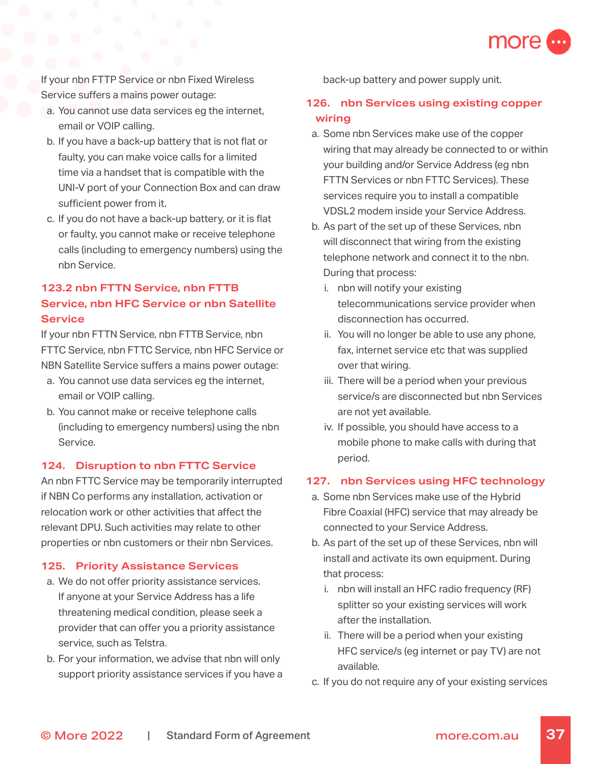

If your nbn FTTP Service or nbn Fixed Wireless Service suffers a mains power outage:

- a. You cannot use data services eg the internet, email or VOIP calling.
- b. If you have a back-up battery that is not flat or faulty, you can make voice calls for a limited time via a handset that is compatible with the UNI-V port of your Connection Box and can draw sufficient power from it.
- c. If you do not have a back-up battery, or it is flat or faulty, you cannot make or receive telephone calls (including to emergency numbers) using the nbn Service.

# **123.2 nbn FTTN Service, nbn FTTB Service, nbn HFC Service or nbn Satellite Service**

If your nbn FTTN Service, nbn FTTB Service, nbn FTTC Service, nbn FTTC Service, nbn HFC Service or NBN Satellite Service suffers a mains power outage:

- a. You cannot use data services eg the internet, email or VOIP calling.
- b. You cannot make or receive telephone calls (including to emergency numbers) using the nbn Service.

### **124. Disruption to nbn FTTC Service**

An nbn FTTC Service may be temporarily interrupted if NBN Co performs any installation, activation or relocation work or other activities that affect the relevant DPU. Such activities may relate to other properties or nbn customers or their nbn Services.

### **125. Priority Assistance Services**

- a. We do not offer priority assistance services. If anyone at your Service Address has a life threatening medical condition, please seek a provider that can offer you a priority assistance service, such as Telstra.
- b. For your information, we advise that nbn will only support priority assistance services if you have a

back-up battery and power supply unit.

# **126. nbn Services using existing copper wiring**

- a. Some nbn Services make use of the copper wiring that may already be connected to or within your building and/or Service Address (eg nbn FTTN Services or nbn FTTC Services). These services require you to install a compatible VDSL2 modem inside your Service Address.
- b. As part of the set up of these Services, nbn will disconnect that wiring from the existing telephone network and connect it to the nbn. During that process:
	- i. nbn will notify your existing telecommunications service provider when disconnection has occurred.
	- ii. You will no longer be able to use any phone, fax, internet service etc that was supplied over that wiring.
	- iii. There will be a period when your previous service/s are disconnected but nbn Services are not yet available.
	- iv. If possible, you should have access to a mobile phone to make calls with during that period.

### **127. nbn Services using HFC technology**

- a. Some nbn Services make use of the Hybrid Fibre Coaxial (HFC) service that may already be connected to your Service Address.
- b. As part of the set up of these Services, nbn will install and activate its own equipment. During that process:
	- i. nbn will install an HFC radio frequency (RF) splitter so your existing services will work after the installation.
	- ii. There will be a period when your existing HFC service/s (eg internet or pay TV) are not available.
- c. If you do not require any of your existing services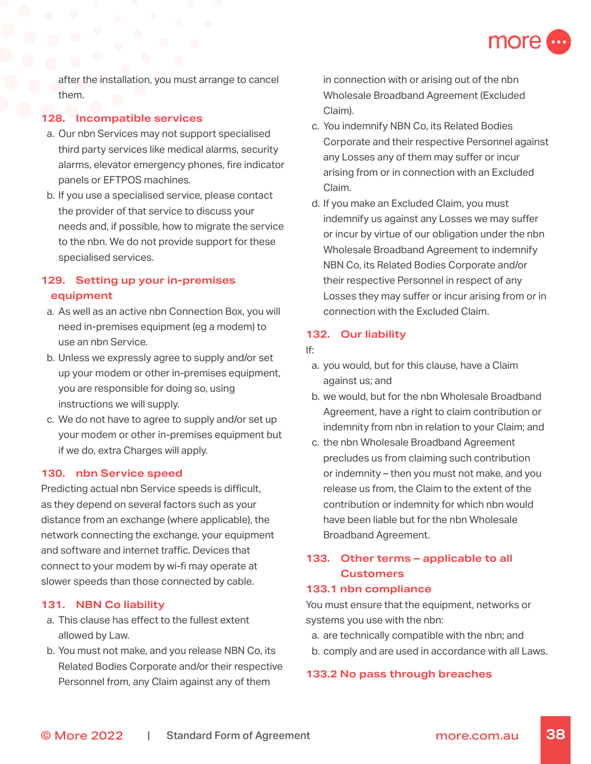

after the installation, you must arrange to cancel them.

### **128. Incompatible services**

- a. Our nbn Services may not support specialised third party services like medical alarms, security alarms, elevator emergency phones, fire indicator panels or EFTPOS machines.
- b. If you use a specialised service, please contact the provider of that service to discuss your needs and, if possible, how to migrate the service to the nbn. We do not provide support for these specialised services.

# **129. Setting up your in-premises equipment**

- a. As well as an active nbn Connection Box, you will need in-premises equipment (eg a modem) to use an nbn Service.
- b. Unless we expressly agree to supply and/or set up your modem or other in-premises equipment, you are responsible for doing so, using instructions we will supply.
- c. We do not have to agree to supply and/or set up your modem or other in-premises equipment but if we do, extra Charges will apply.

### **130. nbn Service speed**

Predicting actual nbn Service speeds is difficult, as they depend on several factors such as your distance from an exchange (where applicable), the network connecting the exchange, your equipment and software and internet traffic. Devices that connect to your modem by wi-fi may operate at slower speeds than those connected by cable.

### **131. NBN Co liability**

- a. This clause has effect to the fullest extent allowed by Law.
- b. You must not make, and you release NBN Co, its Related Bodies Corporate and/or their respective Personnel from, any Claim against any of them

in connection with or arising out of the nbn Wholesale Broadband Agreement (Excluded Claim).

- c. You indemnify NBN Co, its Related Bodies Corporate and their respective Personnel against any Losses any of them may suffer or incur arising from or in connection with an Excluded Claim.
- d. If you make an Excluded Claim, you must indemnify us against any Losses we may suffer or incur by virtue of our obligation under the nbn Wholesale Broadband Agreement to indemnify NBN Co, its Related Bodies Corporate and/or their respective Personnel in respect of any Losses they may suffer or incur arising from or in connection with the Excluded Claim.

### **132. Our liability**

- If:
	- a. you would, but for this clause, have a Claim against us; and
	- b. we would, but for the nbn Wholesale Broadband Agreement, have a right to claim contribution or indemnity from nbn in relation to your Claim; and
	- c. the nbn Wholesale Broadband Agreement precludes us from claiming such contribution or indemnity – then you must not make, and you release us from, the Claim to the extent of the contribution or indemnity for which nbn would have been liable but for the nbn Wholesale Broadband Agreement.

# **133. Other terms – applicable to all Customers**

### **133.1 nbn compliance**

You must ensure that the equipment, networks or systems you use with the nbn:

- a. are technically compatible with the nbn; and
- b. comply and are used in accordance with all Laws.

### **133.2 No pass through breaches**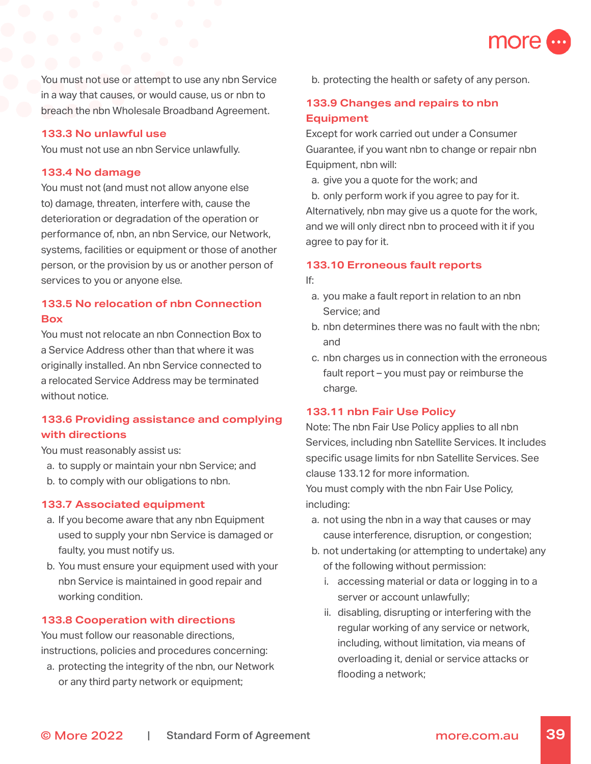

You must not use or attempt to use any nbn Service in a way that causes, or would cause, us or nbn to breach the nbn Wholesale Broadband Agreement.

### **133.3 No unlawful use**

You must not use an nbn Service unlawfully.

#### **133.4 No damage**

You must not (and must not allow anyone else to) damage, threaten, interfere with, cause the deterioration or degradation of the operation or performance of, nbn, an nbn Service, our Network, systems, facilities or equipment or those of another person, or the provision by us or another person of services to you or anyone else.

# **133.5 No relocation of nbn Connection Box**

You must not relocate an nbn Connection Box to a Service Address other than that where it was originally installed. An nbn Service connected to a relocated Service Address may be terminated without notice.

# **133.6 Providing assistance and complying with directions**

You must reasonably assist us:

- a. to supply or maintain your nbn Service; and
- b. to comply with our obligations to nbn.

#### **133.7 Associated equipment**

- a. If you become aware that any nbn Equipment used to supply your nbn Service is damaged or faulty, you must notify us.
- b. You must ensure your equipment used with your nbn Service is maintained in good repair and working condition.

#### **133.8 Cooperation with directions**

You must follow our reasonable directions, instructions, policies and procedures concerning:

a. protecting the integrity of the nbn, our Network or any third party network or equipment;

b. protecting the health or safety of any person.

# **133.9 Changes and repairs to nbn Equipment**

Except for work carried out under a Consumer Guarantee, if you want nbn to change or repair nbn Equipment, nbn will:

a. give you a quote for the work; and b. only perform work if you agree to pay for it. Alternatively, nbn may give us a quote for the work, and we will only direct nbn to proceed with it if you

#### **133.10 Erroneous fault reports**

If:

agree to pay for it.

- a. you make a fault report in relation to an nbn Service; and
- b. nbn determines there was no fault with the nbn; and
- c. nbn charges us in connection with the erroneous fault report – you must pay or reimburse the charge.

#### **133.11 nbn Fair Use Policy**

Note: The nbn Fair Use Policy applies to all nbn Services, including nbn Satellite Services. It includes specific usage limits for nbn Satellite Services. See clause 133.12 for more information.

You must comply with the nbn Fair Use Policy, including:

- a. not using the nbn in a way that causes or may cause interference, disruption, or congestion;
- b. not undertaking (or attempting to undertake) any of the following without permission:
	- i. accessing material or data or logging in to a server or account unlawfully;
	- ii. disabling, disrupting or interfering with the regular working of any service or network, including, without limitation, via means of overloading it, denial or service attacks or flooding a network;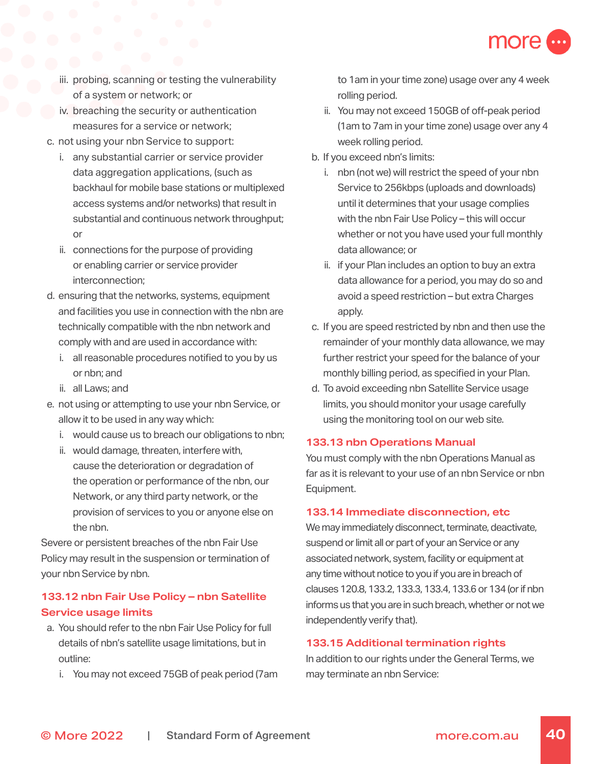

- iii. probing, scanning or testing the vulnerability of a system or network; or
- iv. breaching the security or authentication measures for a service or network;
- c. not using your nbn Service to support:
	- i. any substantial carrier or service provider data aggregation applications, (such as backhaul for mobile base stations or multiplexed access systems and/or networks) that result in substantial and continuous network throughput; or
	- ii. connections for the purpose of providing or enabling carrier or service provider interconnection;
- d. ensuring that the networks, systems, equipment and facilities you use in connection with the nbn are technically compatible with the nbn network and comply with and are used in accordance with:
	- i. all reasonable procedures notified to you by us or nbn; and
	- ii. all Laws; and
- e. not using or attempting to use your nbn Service, or allow it to be used in any way which:
	- i. would cause us to breach our obligations to nbn;
	- ii. would damage, threaten, interfere with, cause the deterioration or degradation of the operation or performance of the nbn, our Network, or any third party network, or the provision of services to you or anyone else on the nbn.

Severe or persistent breaches of the nbn Fair Use Policy may result in the suspension or termination of your nbn Service by nbn.

# **133.12 nbn Fair Use Policy – nbn Satellite Service usage limits**

- a. You should refer to the nbn Fair Use Policy for full details of nbn's satellite usage limitations, but in outline:
	- i. You may not exceed 75GB of peak period (7am

to 1am in your time zone) usage over any 4 week rolling period.

- ii. You may not exceed 150GB of off-peak period (1am to 7am in your time zone) usage over any 4 week rolling period.
- b. If you exceed nbn's limits:
	- i. nbn (not we) will restrict the speed of your nbn Service to 256kbps (uploads and downloads) until it determines that your usage complies with the nbn Fair Use Policy – this will occur whether or not you have used your full monthly data allowance; or
	- ii. if your Plan includes an option to buy an extra data allowance for a period, you may do so and avoid a speed restriction – but extra Charges apply.
- c. If you are speed restricted by nbn and then use the remainder of your monthly data allowance, we may further restrict your speed for the balance of your monthly billing period, as specified in your Plan.
- d. To avoid exceeding nbn Satellite Service usage limits, you should monitor your usage carefully using the monitoring tool on our web site.

### **133.13 nbn Operations Manual**

You must comply with the nbn Operations Manual as far as it is relevant to your use of an nbn Service or nbn Equipment.

### **133.14 Immediate disconnection, etc**

We may immediately disconnect, terminate, deactivate, suspend or limit all or part of your an Service or any associated network, system, facility or equipment at any time without notice to you if you are in breach of clauses 120.8, 133.2, 133.3, 133.4, 133.6 or 134 (or if nbn informs us that you are in such breach, whether or not we independently verify that).

### **133.15 Additional termination rights**

In addition to our rights under the General Terms, we may terminate an nbn Service: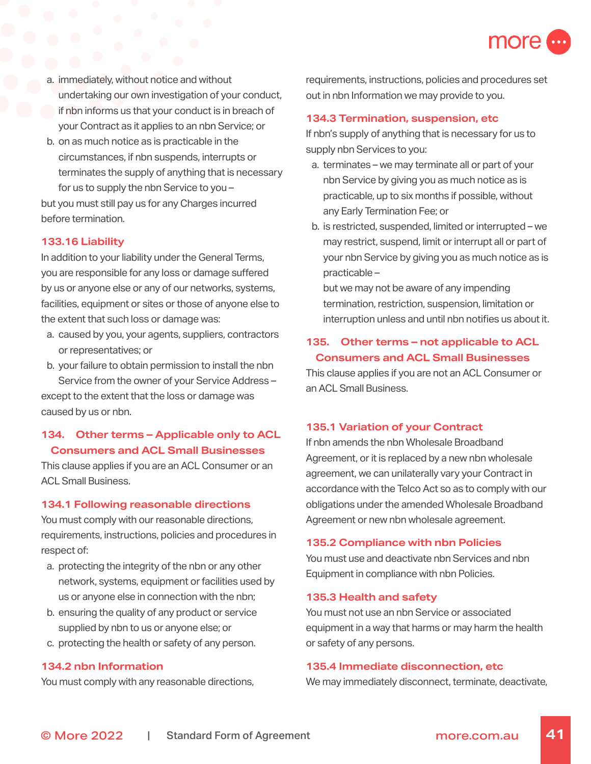

- a. immediately, without notice and without undertaking our own investigation of your conduct, if nbn informs us that your conduct is in breach of your Contract as it applies to an nbn Service; or
- b. on as much notice as is practicable in the circumstances, if nbn suspends, interrupts or terminates the supply of anything that is necessary for us to supply the nbn Service to you –

but you must still pay us for any Charges incurred before termination.

#### **133.16 Liability**

In addition to your liability under the General Terms, you are responsible for any loss or damage suffered by us or anyone else or any of our networks, systems, facilities, equipment or sites or those of anyone else to the extent that such loss or damage was:

- a. caused by you, your agents, suppliers, contractors or representatives; or
- b. your failure to obtain permission to install the nbn Service from the owner of your Service Address – except to the extent that the loss or damage was caused by us or nbn.

## **134. Other terms – Applicable only to ACL Consumers and ACL Small Businesses**

This clause applies if you are an ACL Consumer or an ACL Small Business.

#### **134.1 Following reasonable directions**

You must comply with our reasonable directions, requirements, instructions, policies and procedures in respect of:

- a. protecting the integrity of the nbn or any other network, systems, equipment or facilities used by us or anyone else in connection with the nbn;
- b. ensuring the quality of any product or service supplied by nbn to us or anyone else; or
- c. protecting the health or safety of any person.

#### **134.2 nbn Information**

You must comply with any reasonable directions,

requirements, instructions, policies and procedures set out in nbn Information we may provide to you.

#### **134.3 Termination, suspension, etc**

If nbn's supply of anything that is necessary for us to supply nbn Services to you:

- a. terminates we may terminate all or part of your nbn Service by giving you as much notice as is practicable, up to six months if possible, without any Early Termination Fee; or
- b. is restricted, suspended, limited or interrupted we may restrict, suspend, limit or interrupt all or part of your nbn Service by giving you as much notice as is practicable –

but we may not be aware of any impending termination, restriction, suspension, limitation or interruption unless and until nbn notifies us about it.

### **135. Other terms – not applicable to ACL Consumers and ACL Small Businesses**

This clause applies if you are not an ACL Consumer or an ACL Small Business.

### **135.1 Variation of your Contract**

If nbn amends the nbn Wholesale Broadband Agreement, or it is replaced by a new nbn wholesale agreement, we can unilaterally vary your Contract in accordance with the Telco Act so as to comply with our obligations under the amended Wholesale Broadband Agreement or new nbn wholesale agreement.

#### **135.2 Compliance with nbn Policies**

You must use and deactivate nbn Services and nbn Equipment in compliance with nbn Policies.

#### **135.3 Health and safety**

You must not use an nbn Service or associated equipment in a way that harms or may harm the health or safety of any persons.

#### **135.4 Immediate disconnection, etc**

We may immediately disconnect, terminate, deactivate,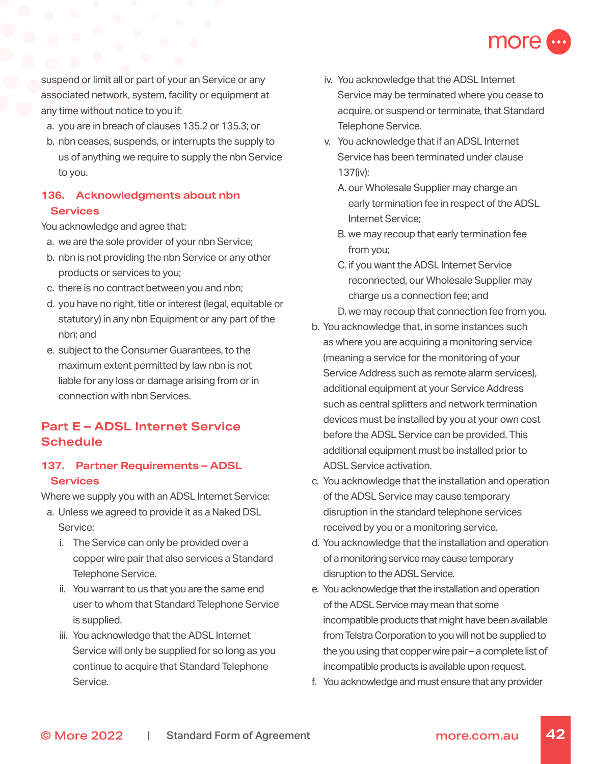

suspend or limit all or part of your an Service or any associated network, system, facility or equipment at any time without notice to you if:

- a. you are in breach of clauses 135.2 or 135.3; or
- b. nbn ceases, suspends, or interrupts the supply to us of anything we require to supply the nbn Service to you.

# **136. Acknowledgments about nbn Services**

You acknowledge and agree that:

- a. we are the sole provider of your nbn Service;
- b. nbn is not providing the nbn Service or any other products or services to you;
- c. there is no contract between you and nbn;
- d. you have no right, title or interest (legal, equitable or statutory) in any nbn Equipment or any part of the nbn; and
- e. subject to the Consumer Guarantees, to the maximum extent permitted by law nbn is not liable for any loss or damage arising from or in connection with nbn Services.

# **Part E – ADSL Internet Service Schedule**

## **137. Partner Requirements – ADSL Services**

Where we supply you with an ADSL Internet Service:

- a. Unless we agreed to provide it as a Naked DSL Service:
	- i. The Service can only be provided over a copper wire pair that also services a Standard Telephone Service.
	- ii. You warrant to us that you are the same end user to whom that Standard Telephone Service is supplied.
	- iii. You acknowledge that the ADSL Internet Service will only be supplied for so long as you continue to acquire that Standard Telephone Service.
- iv. You acknowledge that the ADSL Internet Service may be terminated where you cease to acquire, or suspend or terminate, that Standard Telephone Service.
- v. You acknowledge that if an ADSL Internet Service has been terminated under clause 137(iv):
	- A. our Wholesale Supplier may charge an early termination fee in respect of the ADSL Internet Service;
	- B. we may recoup that early termination fee from you;
	- C. if you want the ADSL Internet Service reconnected, our Wholesale Supplier may charge us a connection fee; and
	- D. we may recoup that connection fee from you.
- b. You acknowledge that, in some instances such as where you are acquiring a monitoring service (meaning a service for the monitoring of your Service Address such as remote alarm services), additional equipment at your Service Address such as central splitters and network termination devices must be installed by you at your own cost before the ADSL Service can be provided. This additional equipment must be installed prior to ADSL Service activation.
- c. You acknowledge that the installation and operation of the ADSL Service may cause temporary disruption in the standard telephone services received by you or a monitoring service.
- d. You acknowledge that the installation and operation of a monitoring service may cause temporary disruption to the ADSL Service.
- e. You acknowledge that the installation and operation of the ADSL Service may mean that some incompatible products that might have been available from Telstra Corporation to you will not be supplied to the you using that copper wire pair – a complete list of incompatible products is available upon request.
- f. You acknowledge and must ensure that any provider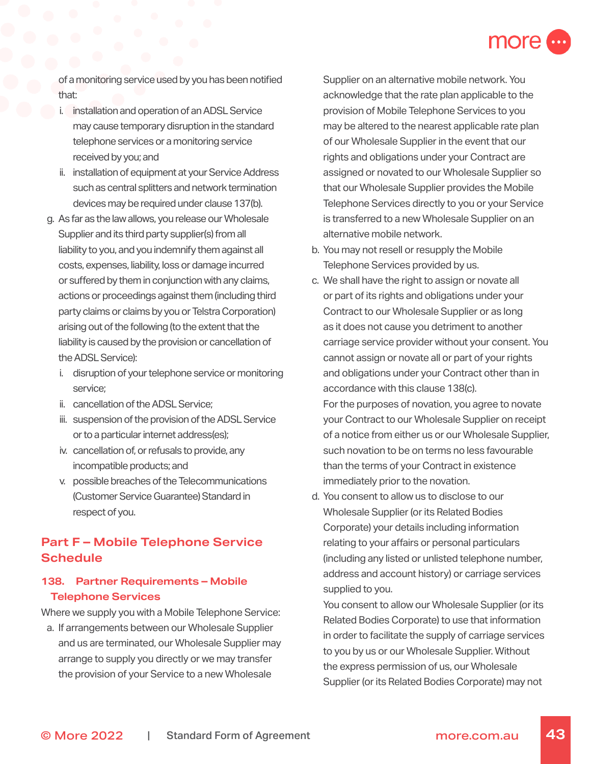

of a monitoring service used by you has been notified that:

- i. installation and operation of an ADSL Service may cause temporary disruption in the standard telephone services or a monitoring service received by you; and
- ii. installation of equipment at your Service Address such as central splitters and network termination devices may be required under clause 137(b).
- g. As far as the law allows, you release our Wholesale Supplier and its third party supplier(s) from all liability to you, and you indemnify them against all costs, expenses, liability, loss or damage incurred or suffered by them in conjunction with any claims, actions or proceedings against them (including third party claims or claims by you or Telstra Corporation) arising out of the following (to the extent that the liability is caused by the provision or cancellation of the ADSL Service):
	- i. disruption of your telephone service or monitoring service;
	- ii. cancellation of the ADSL Service;
	- iii. suspension of the provision of the ADSL Service or to a particular internet address(es);
	- iv. cancellation of, or refusals to provide, any incompatible products; and
	- v. possible breaches of the Telecommunications (Customer Service Guarantee) Standard in respect of you.

# **Part F – Mobile Telephone Service Schedule**

# **138. Partner Requirements – Mobile Telephone Services**

Where we supply you with a Mobile Telephone Service:

a. If arrangements between our Wholesale Supplier and us are terminated, our Wholesale Supplier may arrange to supply you directly or we may transfer the provision of your Service to a new Wholesale

Supplier on an alternative mobile network. You acknowledge that the rate plan applicable to the provision of Mobile Telephone Services to you may be altered to the nearest applicable rate plan of our Wholesale Supplier in the event that our rights and obligations under your Contract are assigned or novated to our Wholesale Supplier so that our Wholesale Supplier provides the Mobile Telephone Services directly to you or your Service is transferred to a new Wholesale Supplier on an alternative mobile network.

- b. You may not resell or resupply the Mobile Telephone Services provided by us.
- c. We shall have the right to assign or novate all or part of its rights and obligations under your Contract to our Wholesale Supplier or as long as it does not cause you detriment to another carriage service provider without your consent. You cannot assign or novate all or part of your rights and obligations under your Contract other than in accordance with this clause 138(c).

For the purposes of novation, you agree to novate your Contract to our Wholesale Supplier on receipt of a notice from either us or our Wholesale Supplier, such novation to be on terms no less favourable than the terms of your Contract in existence immediately prior to the novation.

d. You consent to allow us to disclose to our Wholesale Supplier (or its Related Bodies Corporate) your details including information relating to your affairs or personal particulars (including any listed or unlisted telephone number, address and account history) or carriage services supplied to you.

You consent to allow our Wholesale Supplier (or its Related Bodies Corporate) to use that information in order to facilitate the supply of carriage services to you by us or our Wholesale Supplier. Without the express permission of us, our Wholesale Supplier (or its Related Bodies Corporate) may not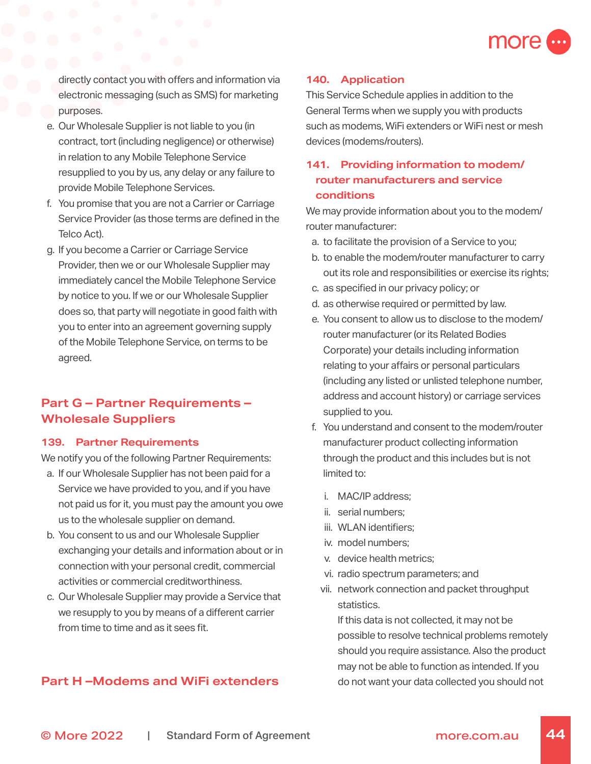

directly contact you with offers and information via electronic messaging (such as SMS) for marketing purposes.

- e. Our Wholesale Supplier is not liable to you (in contract, tort (including negligence) or otherwise) in relation to any Mobile Telephone Service resupplied to you by us, any delay or any failure to provide Mobile Telephone Services.
- f. You promise that you are not a Carrier or Carriage Service Provider (as those terms are defined in the Telco Act).
- g. If you become a Carrier or Carriage Service Provider, then we or our Wholesale Supplier may immediately cancel the Mobile Telephone Service by notice to you. If we or our Wholesale Supplier does so, that party will negotiate in good faith with you to enter into an agreement governing supply of the Mobile Telephone Service, on terms to be agreed.

# **Part G – Partner Requirements – Wholesale Suppliers**

### **139. Partner Requirements**

We notify you of the following Partner Requirements:

- a. If our Wholesale Supplier has not been paid for a Service we have provided to you, and if you have not paid us for it, you must pay the amount you owe us to the wholesale supplier on demand.
- b. You consent to us and our Wholesale Supplier exchanging your details and information about or in connection with your personal credit, commercial activities or commercial creditworthiness.
- c. Our Wholesale Supplier may provide a Service that we resupply to you by means of a different carrier from time to time and as it sees fit.

# **Part H –Modems and WiFi extenders**

### **140. Application**

This Service Schedule applies in addition to the General Terms when we supply you with products such as modems, WiFi extenders or WiFi nest or mesh devices (modems/routers).

# **141. Providing information to modem/ router manufacturers and service conditions**

We may provide information about you to the modem/ router manufacturer:

- a. to facilitate the provision of a Service to you;
- b. to enable the modem/router manufacturer to carry out its role and responsibilities or exercise its rights;
- c. as specified in our privacy policy; or
- d. as otherwise required or permitted by law.
- e. You consent to allow us to disclose to the modem/ router manufacturer (or its Related Bodies Corporate) your details including information relating to your affairs or personal particulars (including any listed or unlisted telephone number, address and account history) or carriage services supplied to you.
- f. You understand and consent to the modem/router manufacturer product collecting information through the product and this includes but is not limited to:
	- i. MAC/IP address;
	- ii. serial numbers;
	- iii. WLAN identifiers;
	- iv. model numbers;
	- v. device health metrics;
	- vi. radio spectrum parameters; and
	- vii. network connection and packet throughput statistics.

If this data is not collected, it may not be possible to resolve technical problems remotely should you require assistance. Also the product may not be able to function as intended. If you do not want your data collected you should not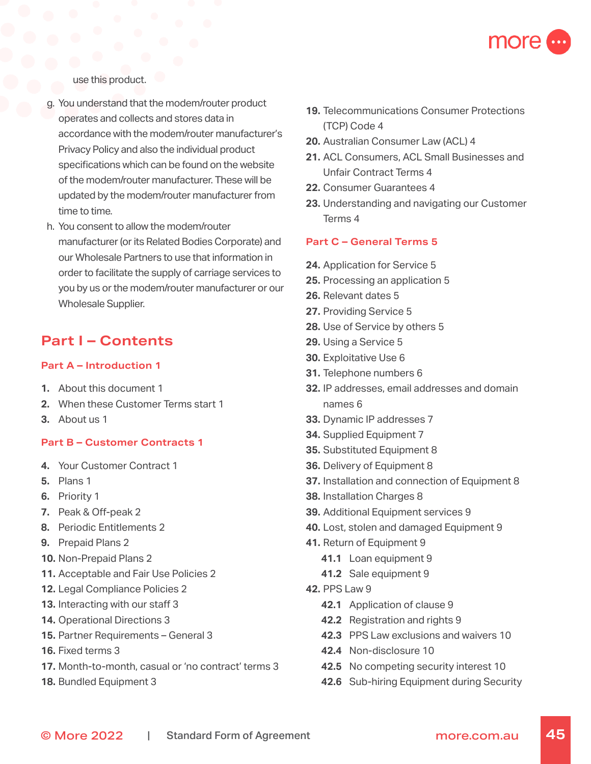

use this product.

- g. You understand that the modem/router product operates and collects and stores data in accordance with the modem/router manufacturer's Privacy Policy and also the individual product specifications which can be found on the website of the modem/router manufacturer. These will be updated by the modem/router manufacturer from time to time.
- h. You consent to allow the modem/router manufacturer (or its Related Bodies Corporate) and our Wholesale Partners to use that information in order to facilitate the supply of carriage services to you by us or the modem/router manufacturer or our Wholesale Supplier.

# **Part I – Contents**

### **Part A – Introduction 1**

- **1.** About this document 1
- **2.** When these Customer Terms start 1
- **3.** About us 1

### **Part B – Customer Contracts 1**

- **4.** Your Customer Contract 1
- **5.** Plans 1
- **6.** Priority 1
- **7.** Peak & Off-peak 2
- **8.** Periodic Entitlements 2
- **9.** Prepaid Plans 2
- **10.** Non-Prepaid Plans 2
- **11.** Acceptable and Fair Use Policies 2
- **12.** Legal Compliance Policies 2
- **13.** Interacting with our staff 3
- **14.** Operational Directions 3
- **15.** Partner Requirements General 3
- **16.** Fixed terms 3
- **17.** Month-to-month, casual or 'no contract' terms 3
- **18.** Bundled Equipment 3
- **19.** Telecommunications Consumer Protections (TCP) Code 4
- **20.** Australian Consumer Law (ACL) 4
- **21.** ACL Consumers, ACL Small Businesses and Unfair Contract Terms 4
- **22.** Consumer Guarantees 4
- **23.** Understanding and navigating our Customer Terms 4

### **Part C – General Terms 5**

- **24.** Application for Service 5
- **25.** Processing an application 5
- **26.** Relevant dates 5
- **27.** Providing Service 5
- **28.** Use of Service by others 5
- **29.** Using a Service 5
- **30.** Exploitative Use 6
- **31.** Telephone numbers 6
- **32.** IP addresses, email addresses and domain names 6
- **33.** Dynamic IP addresses 7
- **34.** Supplied Equipment 7
- **35.** Substituted Equipment 8
- **36.** Delivery of Equipment 8
- **37.** Installation and connection of Equipment 8
- **38.** Installation Charges 8
- **39.** Additional Equipment services 9
- **40.** Lost, stolen and damaged Equipment 9
- **41.** Return of Equipment 9
	- **41.1** Loan equipment 9
	- **41.2** Sale equipment 9
- **42.** PPS Law 9
	- **42.1** Application of clause 9
	- **42.2** Registration and rights 9
	- **42.3** PPS Law exclusions and waivers 10
	- **42.4** Non-disclosure 10
	- **42.5** No competing security interest 10
	- **42.6** Sub-hiring Equipment during Security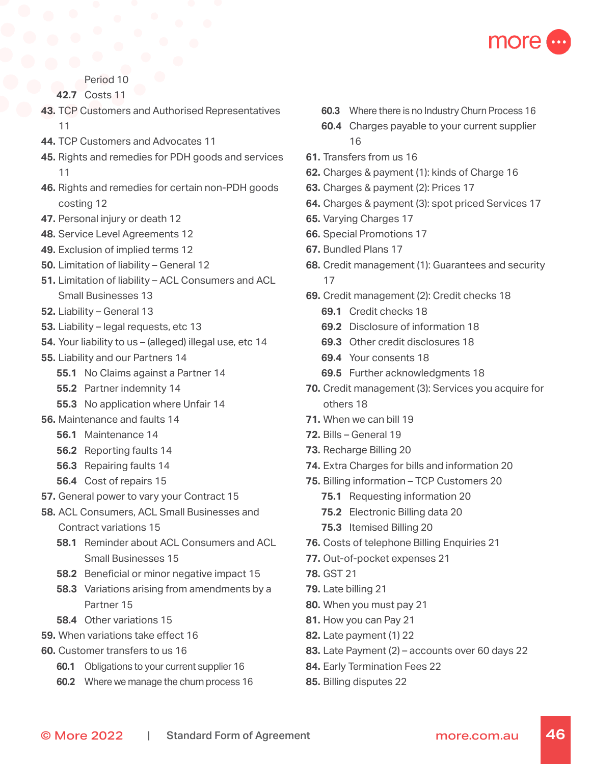

### Period 10

**42.7** Costs 11

- **43.** TCP Customers and Authorised Representatives 11
- **44.** TCP Customers and Advocates 11
- **45.** Rights and remedies for PDH goods and services 11
- **46.** Rights and remedies for certain non-PDH goods costing 12
- **47.** Personal injury or death 12
- **48.** Service Level Agreements 12
- **49.** Exclusion of implied terms 12
- **50.** Limitation of liability General 12
- **51.** Limitation of liability ACL Consumers and ACL Small Businesses 13
- **52.** Liability General 13
- **53.** Liability legal requests, etc 13
- **54.** Your liability to us (alleged) illegal use, etc 14
- **55.** Liability and our Partners 14
	- **55.1** No Claims against a Partner 14
	- **55.2** Partner indemnity 14
	- **55.3** No application where Unfair 14
- **56.** Maintenance and faults 14
	- **56.1** Maintenance 14
	- **56.2** Reporting faults 14
	- **56.3** Repairing faults 14
	- **56.4** Cost of repairs 15
- **57.** General power to vary your Contract 15
- **58.** ACL Consumers, ACL Small Businesses and Contract variations 15
	- **58.1** Reminder about ACL Consumers and ACL Small Businesses 15
	- **58.2** Beneficial or minor negative impact 15
	- **58.3** Variations arising from amendments by a Partner 15
	- **58.4** Other variations 15
- **59.** When variations take effect 16
- **60.** Customer transfers to us 16
	- **60.1** Obligations to your current supplier 16
	- **60.2** Where we manage the churn process 16
- **60.3** Where there is no Industry Churn Process 16
- **60.4** Charges payable to your current supplier 16
- **61.** Transfers from us 16
- **62.** Charges & payment (1): kinds of Charge 16
- **63.** Charges & payment (2): Prices 17
- **64.** Charges & payment (3): spot priced Services 17
- **65.** Varying Charges 17
- **66.** Special Promotions 17
- **67.** Bundled Plans 17
- **68.** Credit management (1): Guarantees and security 17
- **69.** Credit management (2): Credit checks 18
	- **69.1** Credit checks 18
	- **69.2** Disclosure of information 18
	- **69.3** Other credit disclosures 18
	- **69.4** Your consents 18
	- **69.5** Further acknowledgments 18
- **70.** Credit management (3): Services you acquire for others 18
- **71.** When we can bill 19
- **72.** Bills General 19
- **73.** Recharge Billing 20
- **74.** Extra Charges for bills and information 20
- **75.** Billing information TCP Customers 20
	- **75.1** Requesting information 20
	- **75.2** Electronic Billing data 20
	- **75.3** Itemised Billing 20
- **76.** Costs of telephone Billing Enquiries 21
- **77.** Out-of-pocket expenses 21
- **78.** GST 21
- **79.** Late billing 21
- **80.** When you must pay 21
- **81.** How you can Pay 21
- **82.** Late payment (1) 22
- **83.** Late Payment (2) accounts over 60 days 22
- **84.** Early Termination Fees 22
- **85.** Billing disputes 22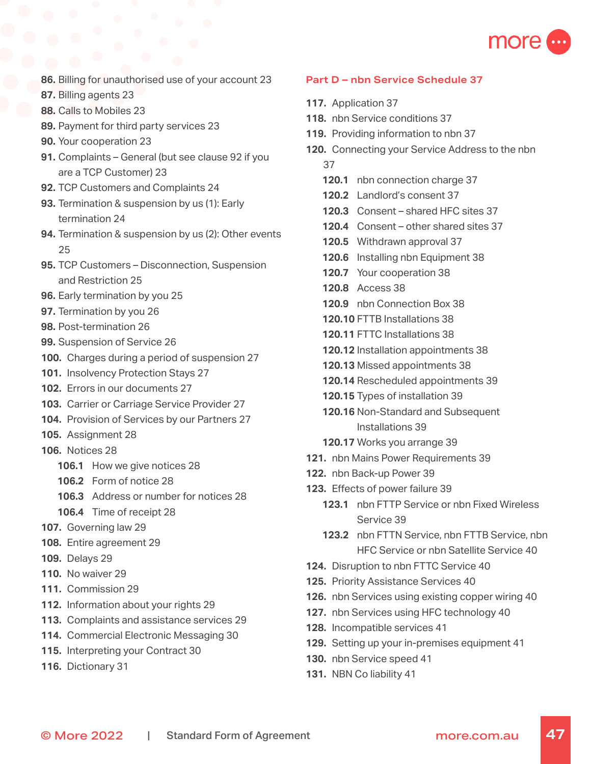

- **86.** Billing for unauthorised use of your account 23
- **87.** Billing agents 23
- **88.** Calls to Mobiles 23
- **89.** Payment for third party services 23
- **90.** Your cooperation 23
- **91.** Complaints General (but see clause 92 if you are a TCP Customer) 23
- **92.** TCP Customers and Complaints 24
- **93.** Termination & suspension by us (1): Early termination 24
- **94.** Termination & suspension by us (2): Other events 25
- **95.** TCP Customers Disconnection, Suspension and Restriction 25
- **96.** Early termination by you 25
- **97.** Termination by you 26
- **98.** Post-termination 26
- **99.** Suspension of Service 26
- **100.** Charges during a period of suspension 27
- **101.** Insolvency Protection Stays 27
- **102.** Errors in our documents 27
- **103.** Carrier or Carriage Service Provider 27
- **104.** Provision of Services by our Partners 27
- **105.** Assignment 28
- **106.** Notices 28
	- **106.1** How we give notices 28
	- **106.2** Form of notice 28
	- **106.3** Address or number for notices 28
	- **106.4** Time of receipt 28
- **107.** Governing law 29
- **108.** Entire agreement 29
- **109.** Delays 29
- **110.** No waiver 29
- **111.** Commission 29
- **112.** Information about your rights 29
- **113.** Complaints and assistance services 29
- **114.** Commercial Electronic Messaging 30
- **115.** Interpreting your Contract 30
- **116.** Dictionary 31

#### **Part D – nbn Service Schedule 37**

- **117.** Application 37
- **118.** nbn Service conditions 37
- **119.** Providing information to nbn 37
- **120.** Connecting your Service Address to the nbn 37
	- **120.1** nbn connection charge 37
	- **120.2** Landlord's consent 37
	- **120.3** Consent shared HFC sites 37
	- **120.4** Consent other shared sites 37
	- **120.5** Withdrawn approval 37
	- **120.6** Installing nbn Equipment 38
	- **120.7** Your cooperation 38
	- **120.8** Access 38
	- **120.9** nbn Connection Box 38
	- **120.10** FTTB Installations 38
	- **120.11** FTTC Installations 38
	- **120.12** Installation appointments 38
	- **120.13** Missed appointments 38
	- **120.14** Rescheduled appointments 39
	- **120.15** Types of installation 39
	- **120.16** Non-Standard and Subsequent Installations 39
	- **120.17** Works you arrange 39
- **121.** nbn Mains Power Requirements 39
- **122.** nbn Back-up Power 39
- **123.** Effects of power failure 39
	- **123.1** nbn FTTP Service or nbn Fixed Wireless Service 39
	- **123.2** nbn FTTN Service, nbn FTTB Service, nbn HFC Service or nbn Satellite Service 40
- **124.** Disruption to nbn FTTC Service 40
- **125.** Priority Assistance Services 40
- **126.** nbn Services using existing copper wiring 40
- **127.** nbn Services using HFC technology 40
- **128.** Incompatible services 41
- **129.** Setting up your in-premises equipment 41
- **130.** nbn Service speed 41
- **131.** NBN Co liability 41